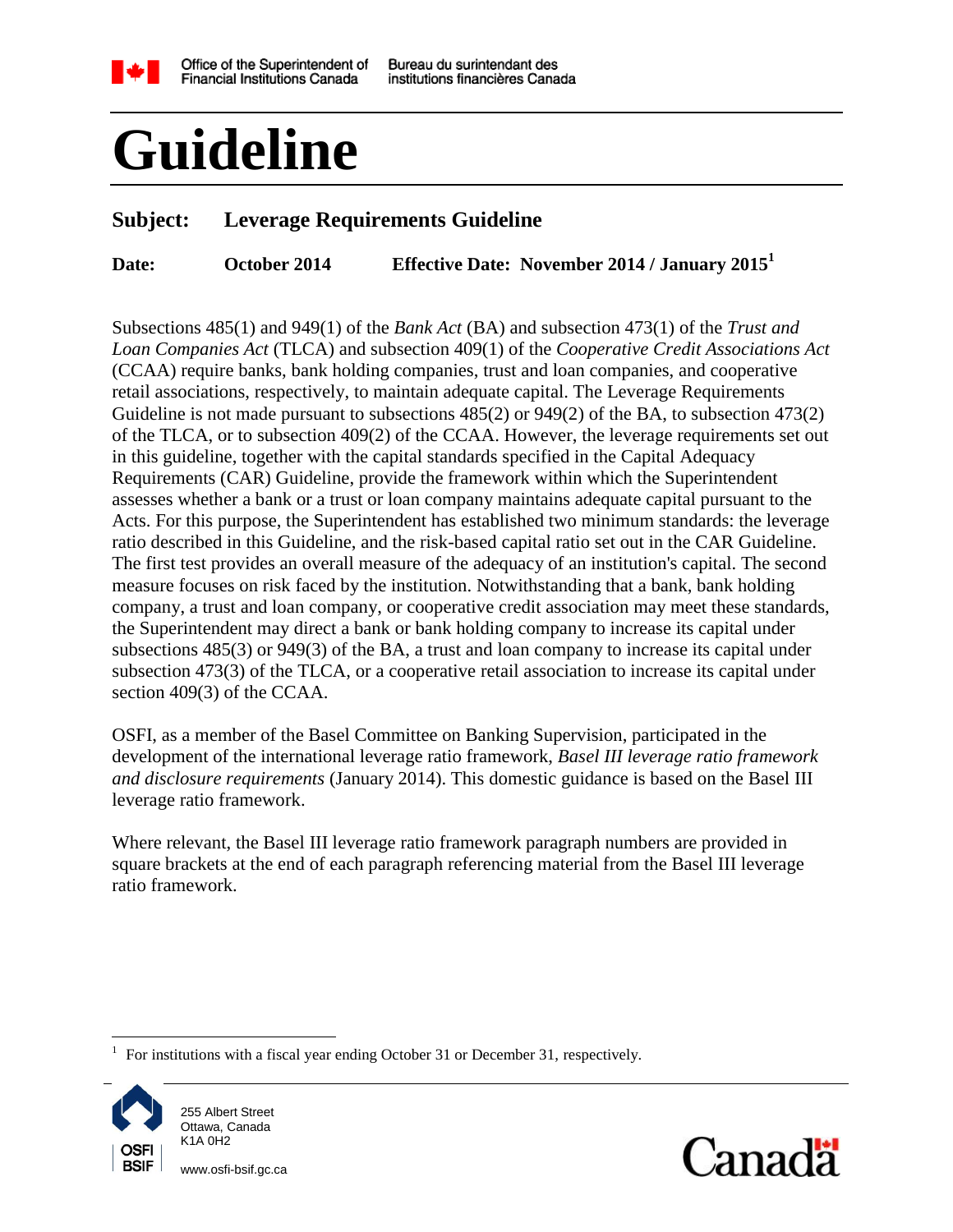

# **Guideline**

# **Subject: Leverage Requirements Guideline**

**Date: October 2014 Effective Date: November 2014 / January 2015<sup>1</sup>**

Subsections 485(1) and 949(1) of the *Bank Act* (BA) and subsection 473(1) of the *Trust and Loan Companies Act* (TLCA) and subsection 409(1) of the *Cooperative Credit Associations Act* (CCAA) require banks, bank holding companies, trust and loan companies, and cooperative retail associations, respectively, to maintain adequate capital. The Leverage Requirements Guideline is not made pursuant to subsections  $485(2)$  or  $949(2)$  of the BA, to subsection  $473(2)$ of the TLCA, or to subsection 409(2) of the CCAA. However, the leverage requirements set out in this guideline, together with the capital standards specified in the Capital Adequacy Requirements (CAR) Guideline, provide the framework within which the Superintendent assesses whether a bank or a trust or loan company maintains adequate capital pursuant to the Acts. For this purpose, the Superintendent has established two minimum standards: the leverage ratio described in this Guideline, and the risk-based capital ratio set out in the CAR Guideline. The first test provides an overall measure of the adequacy of an institution's capital. The second measure focuses on risk faced by the institution. Notwithstanding that a bank, bank holding company, a trust and loan company, or cooperative credit association may meet these standards, the Superintendent may direct a bank or bank holding company to increase its capital under subsections 485(3) or 949(3) of the BA, a trust and loan company to increase its capital under subsection 473(3) of the TLCA, or a cooperative retail association to increase its capital under section 409(3) of the CCAA.

OSFI, as a member of the Basel Committee on Banking Supervision, participated in the development of the international leverage ratio framework, *Basel III leverage ratio framework and disclosure requirements* (January 2014). This domestic guidance is based on the Basel III leverage ratio framework.

Where relevant, the Basel III leverage ratio framework paragraph numbers are provided in square brackets at the end of each paragraph referencing material from the Basel III leverage ratio framework.

<sup>1</sup> For institutions with a fiscal year ending October 31 or December 31, respectively.



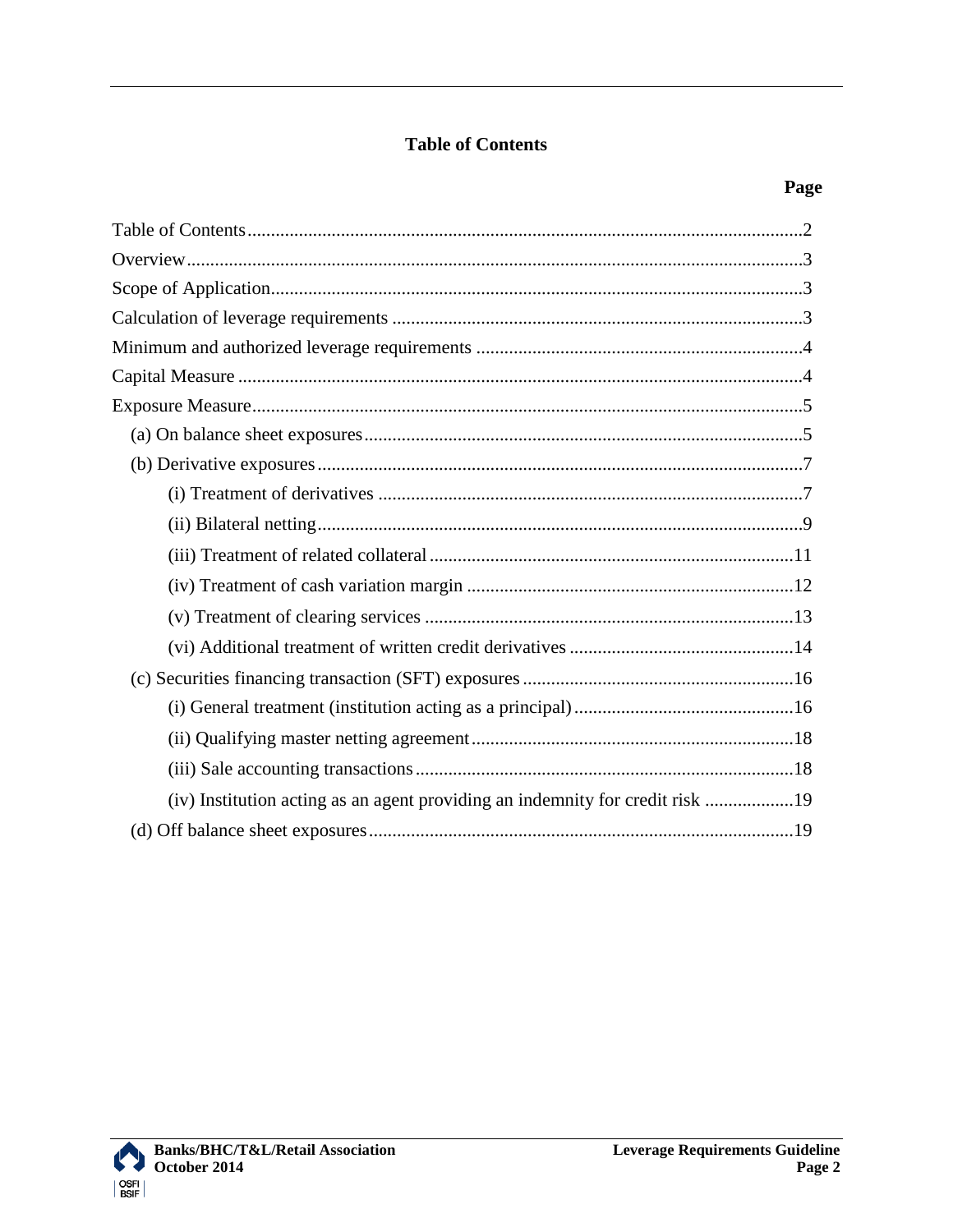## **Table of Contents**

<span id="page-1-0"></span>

| (iv) Institution acting as an agent providing an indemnity for credit risk 19 |  |
|-------------------------------------------------------------------------------|--|
|                                                                               |  |

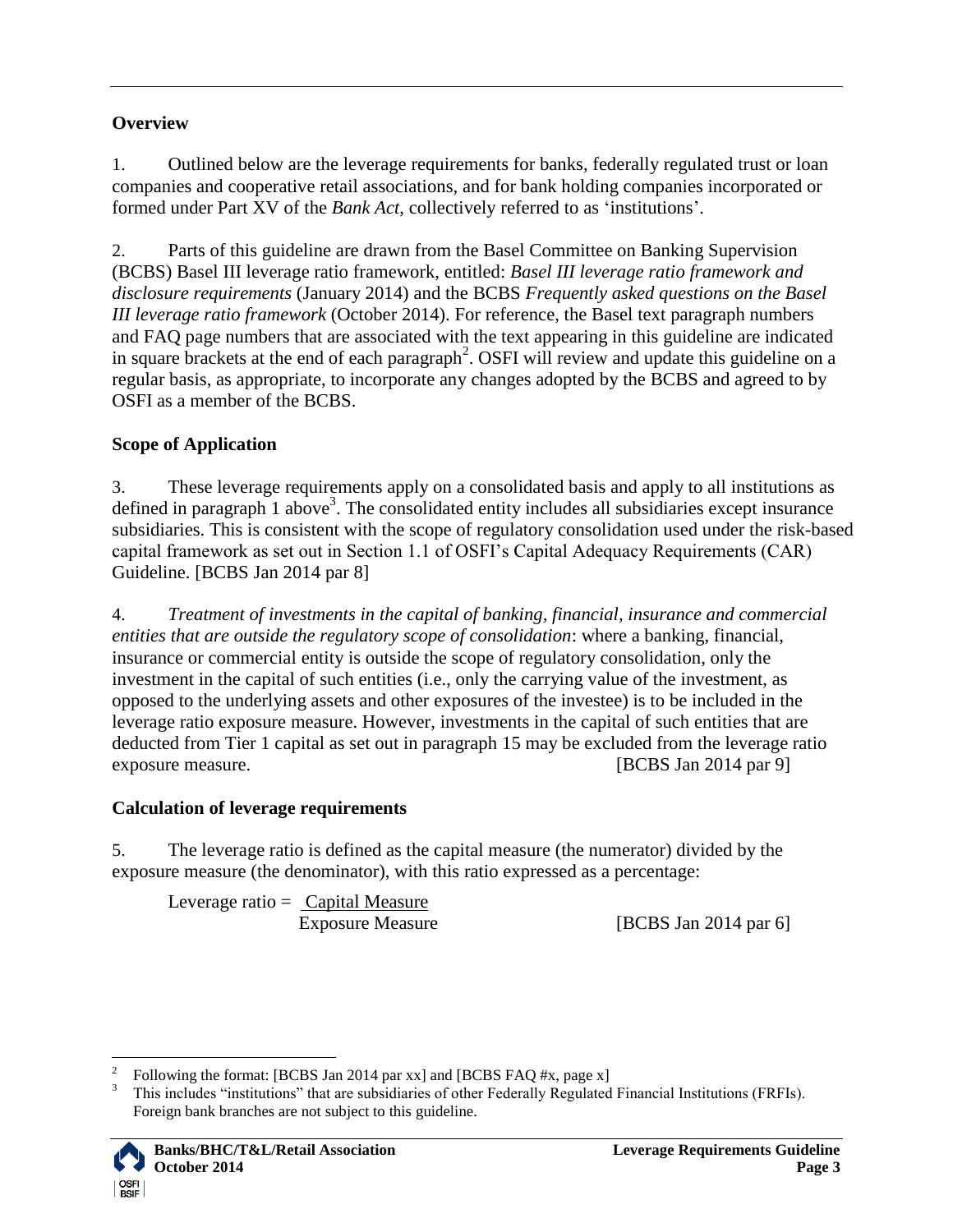# <span id="page-2-0"></span>**Overview**

<span id="page-2-3"></span>1. Outlined below are the leverage requirements for banks, federally regulated trust or loan companies and cooperative retail associations, and for bank holding companies incorporated or formed under Part XV of the *Bank Act*, collectively referred to as "institutions".

2. Parts of this guideline are drawn from the Basel Committee on Banking Supervision (BCBS) Basel III leverage ratio framework, entitled: *Basel III leverage ratio framework and disclosure requirements* (January 2014) and the BCBS *Frequently asked questions on the Basel III leverage ratio framework* (October 2014). For reference, the Basel text paragraph numbers and FAQ page numbers that are associated with the text appearing in this guideline are indicated in square brackets at the end of each paragraph<sup>2</sup>. OSFI will review and update this guideline on a regular basis, as appropriate, to incorporate any changes adopted by the BCBS and agreed to by OSFI as a member of the BCBS.

# <span id="page-2-1"></span>**Scope of Application**

<span id="page-2-5"></span>3. These leverage requirements apply on a consolidated basis and apply to all institutions as defined in paragraph [1](#page-2-3) above<sup>3</sup>. The consolidated entity includes all subsidiaries except insurance subsidiaries. This is consistent with the scope of regulatory consolidation used under the risk-based capital framework as set out in Section 1.1 of OSFI"s Capital Adequacy Requirements (CAR) Guideline. [BCBS Jan 2014 par 8]

<span id="page-2-4"></span>4. *Treatment of investments in the capital of banking, financial, insurance and commercial entities that are outside the regulatory scope of consolidation*: where a banking, financial, insurance or commercial entity is outside the scope of regulatory consolidation, only the investment in the capital of such entities (i.e., only the carrying value of the investment, as opposed to the underlying assets and other exposures of the investee) is to be included in the leverage ratio exposure measure. However, investments in the capital of such entities that are deducted from Tier 1 capital as set out in paragraph [15](#page-4-2) may be excluded from the leverage ratio exposure measure. [BCBS Jan 2014 par 9]

# <span id="page-2-2"></span>**Calculation of leverage requirements**

5. The leverage ratio is defined as the capital measure (the numerator) divided by the exposure measure (the denominator), with this ratio expressed as a percentage:

Leverage ratio  $=$  Capital Measure

Exposure Measure [BCBS Jan 2014 par 6]

<sup>&</sup>lt;sup>3</sup> This includes "institutions" that are subsidiaries of other Federally Regulated Financial Institutions (FRFIs). Foreign bank branches are not subject to this guideline.



 $\frac{1}{2}$ Following the format: [BCBS Jan 2014 par xx] and [BCBS FAQ #x, page x]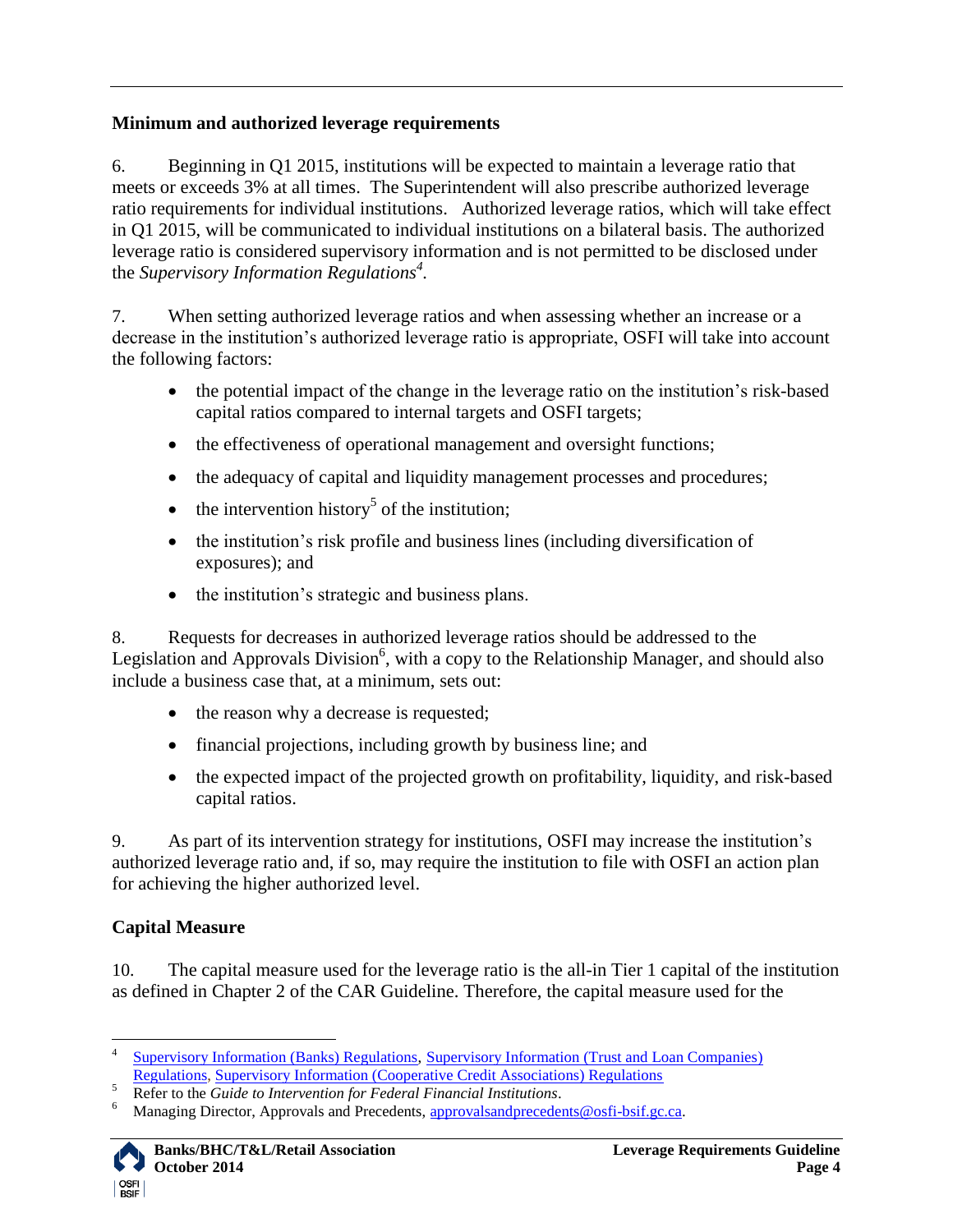## <span id="page-3-0"></span>**Minimum and authorized leverage requirements**

6. Beginning in Q1 2015, institutions will be expected to maintain a leverage ratio that meets or exceeds 3% at all times. The Superintendent will also prescribe authorized leverage ratio requirements for individual institutions. Authorized leverage ratios, which will take effect in Q1 2015, will be communicated to individual institutions on a bilateral basis. The authorized leverage ratio is considered supervisory information and is not permitted to be disclosed under the *Supervisory Information Regulations<sup>4</sup> .*

7. When setting authorized leverage ratios and when assessing whether an increase or a decrease in the institution's authorized leverage ratio is appropriate, OSFI will take into account the following factors:

- the potential impact of the change in the leverage ratio on the institution's risk-based capital ratios compared to internal targets and OSFI targets;
- the effectiveness of operational management and oversight functions;
- the adequacy of capital and liquidity management processes and procedures;
- $\bullet$  the intervention history<sup>5</sup> of the institution;
- the institution's risk profile and business lines (including diversification of exposures); and
- the institution's strategic and business plans.

8. Requests for decreases in authorized leverage ratios should be addressed to the Legislation and Approvals Division<sup>6</sup>, with a copy to the Relationship Manager, and should also include a business case that, at a minimum, sets out:

- the reason why a decrease is requested;
- financial projections, including growth by business line; and
- the expected impact of the projected growth on profitability, liquidity, and risk-based capital ratios.

9. As part of its intervention strategy for institutions, OSFI may increase the institution"s authorized leverage ratio and, if so, may require the institution to file with OSFI an action plan for achieving the higher authorized level.

# <span id="page-3-1"></span>**Capital Measure**

10. The capital measure used for the leverage ratio is the all-in Tier 1 capital of the institution as defined in Chapter 2 of the CAR Guideline. Therefore, the capital measure used for the

Managing Director, Approvals and Precedents, [approvalsandprecedents@osfi-bsif.gc.ca.](mailto:approvalsandprecedents@osfi-bsif.gc.ca)



 $\overline{a}$ 4 [Supervisory Information \(Banks\) Regulations,](http://www.laws.justice.gc.ca/eng/regulations/SOR-2001-59) [Supervisory Information \(Trust and Loan Companies\)](http://www.laws.justice.gc.ca/eng/regulations/SOR-2001-55) 

[Regulations,](http://www.laws.justice.gc.ca/eng/regulations/SOR-2001-55) [Supervisory Information \(Cooperative Credit Associations\) Regulations](http://www.laws.justice.gc.ca/eng/regulations/SOR-2001-57)

<sup>&</sup>lt;sup>5</sup><br><sup>5</sup> Refer to the *Guide to Intervention for Federal Financial Institutions*.<br><sup>6</sup> Managing Director, Approvals and Procedents, approvals addressed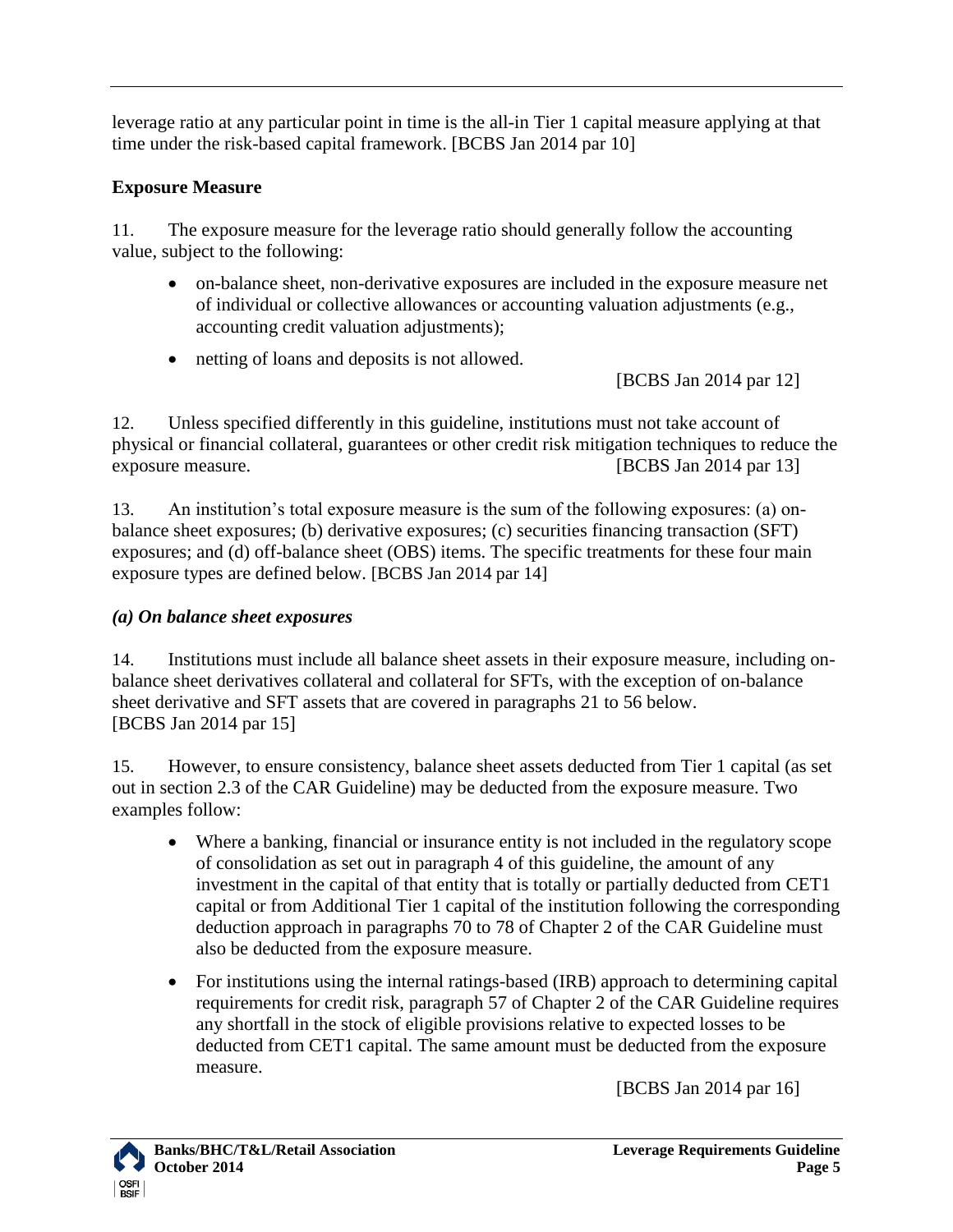leverage ratio at any particular point in time is the all-in Tier 1 capital measure applying at that time under the risk-based capital framework. [BCBS Jan 2014 par 10]

# <span id="page-4-0"></span>**Exposure Measure**

11. The exposure measure for the leverage ratio should generally follow the accounting value, subject to the following:

- on-balance sheet, non-derivative exposures are included in the exposure measure net of individual or collective allowances or accounting valuation adjustments (e.g., accounting credit valuation adjustments);
- netting of loans and deposits is not allowed.

[BCBS Jan 2014 par 12]

12. Unless specified differently in this guideline, institutions must not take account of physical or financial collateral, guarantees or other credit risk mitigation techniques to reduce the exposure measure. [BCBS Jan 2014 par 13]

13. An institution"s total exposure measure is the sum of the following exposures: (a) onbalance sheet exposures; (b) derivative exposures; (c) securities financing transaction (SFT) exposures; and (d) off-balance sheet (OBS) items. The specific treatments for these four main exposure types are defined below. [BCBS Jan 2014 par 14]

# <span id="page-4-1"></span>*(a) On balance sheet exposures*

14. Institutions must include all balance sheet assets in their exposure measure, including onbalance sheet derivatives collateral and collateral for SFTs, with the exception of on-balance sheet derivative and SFT assets that are covered in paragraphs [21](#page-6-2) to [56](#page-18-2) below. [BCBS Jan 2014 par 15]

<span id="page-4-2"></span>15. However, to ensure consistency, balance sheet assets deducted from Tier 1 capital (as set out in section 2.3 of the CAR Guideline) may be deducted from the exposure measure. Two examples follow:

- Where a banking, financial or insurance entity is not included in the regulatory scope of consolidation as set out in paragraph [4](#page-2-4) of this guideline, the amount of any investment in the capital of that entity that is totally or partially deducted from CET1 capital or from Additional Tier 1 capital of the institution following the corresponding deduction approach in paragraphs 70 to 78 of Chapter 2 of the CAR Guideline must also be deducted from the exposure measure.
- For institutions using the internal ratings-based (IRB) approach to determining capital requirements for credit risk, paragraph 57 of Chapter 2 of the CAR Guideline requires any shortfall in the stock of eligible provisions relative to expected losses to be deducted from CET1 capital. The same amount must be deducted from the exposure measure.

[BCBS Jan 2014 par 16]

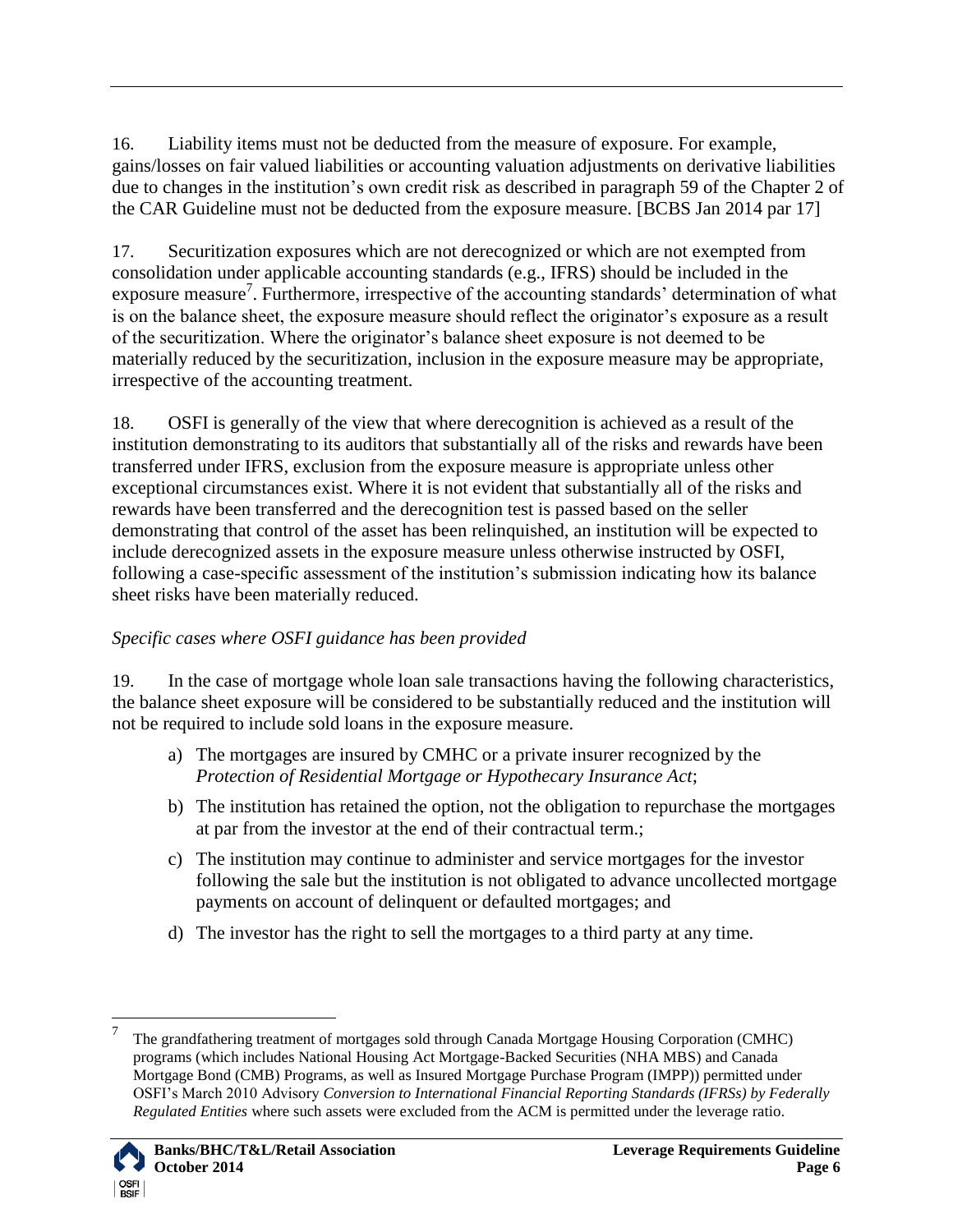16. Liability items must not be deducted from the measure of exposure. For example, gains/losses on fair valued liabilities or accounting valuation adjustments on derivative liabilities due to changes in the institution"s own credit risk as described in paragraph 59 of the Chapter 2 of the CAR Guideline must not be deducted from the exposure measure. [BCBS Jan 2014 par 17]

17. Securitization exposures which are not derecognized or which are not exempted from consolidation under applicable accounting standards (e.g., IFRS) should be included in the exposure measure<sup>7</sup>. Furthermore, irrespective of the accounting standards' determination of what is on the balance sheet, the exposure measure should reflect the originator's exposure as a result of the securitization. Where the originator"s balance sheet exposure is not deemed to be materially reduced by the securitization, inclusion in the exposure measure may be appropriate, irrespective of the accounting treatment.

18. OSFI is generally of the view that where derecognition is achieved as a result of the institution demonstrating to its auditors that substantially all of the risks and rewards have been transferred under IFRS, exclusion from the exposure measure is appropriate unless other exceptional circumstances exist. Where it is not evident that substantially all of the risks and rewards have been transferred and the derecognition test is passed based on the seller demonstrating that control of the asset has been relinquished, an institution will be expected to include derecognized assets in the exposure measure unless otherwise instructed by OSFI, following a case-specific assessment of the institution"s submission indicating how its balance sheet risks have been materially reduced.

# *Specific cases where OSFI guidance has been provided*

<span id="page-5-0"></span>19. In the case of mortgage whole loan sale transactions having the following characteristics, the balance sheet exposure will be considered to be substantially reduced and the institution will not be required to include sold loans in the exposure measure.

- a) The mortgages are insured by CMHC or a private insurer recognized by the *Protection of Residential Mortgage or Hypothecary Insurance Act*;
- b) The institution has retained the option, not the obligation to repurchase the mortgages at par from the investor at the end of their contractual term.;
- c) The institution may continue to administer and service mortgages for the investor following the sale but the institution is not obligated to advance uncollected mortgage payments on account of delinquent or defaulted mortgages; and
- d) The investor has the right to sell the mortgages to a third party at any time.

<sup>7</sup> The grandfathering treatment of mortgages sold through Canada Mortgage Housing Corporation (CMHC) programs (which includes National Housing Act Mortgage-Backed Securities (NHA MBS) and Canada Mortgage Bond (CMB) Programs, as well as Insured Mortgage Purchase Program (IMPP)) permitted under OSFI"s March 2010 Advisory *Conversion to International Financial Reporting Standards (IFRSs) by Federally Regulated Entities* where such assets were excluded from the ACM is permitted under the leverage ratio.

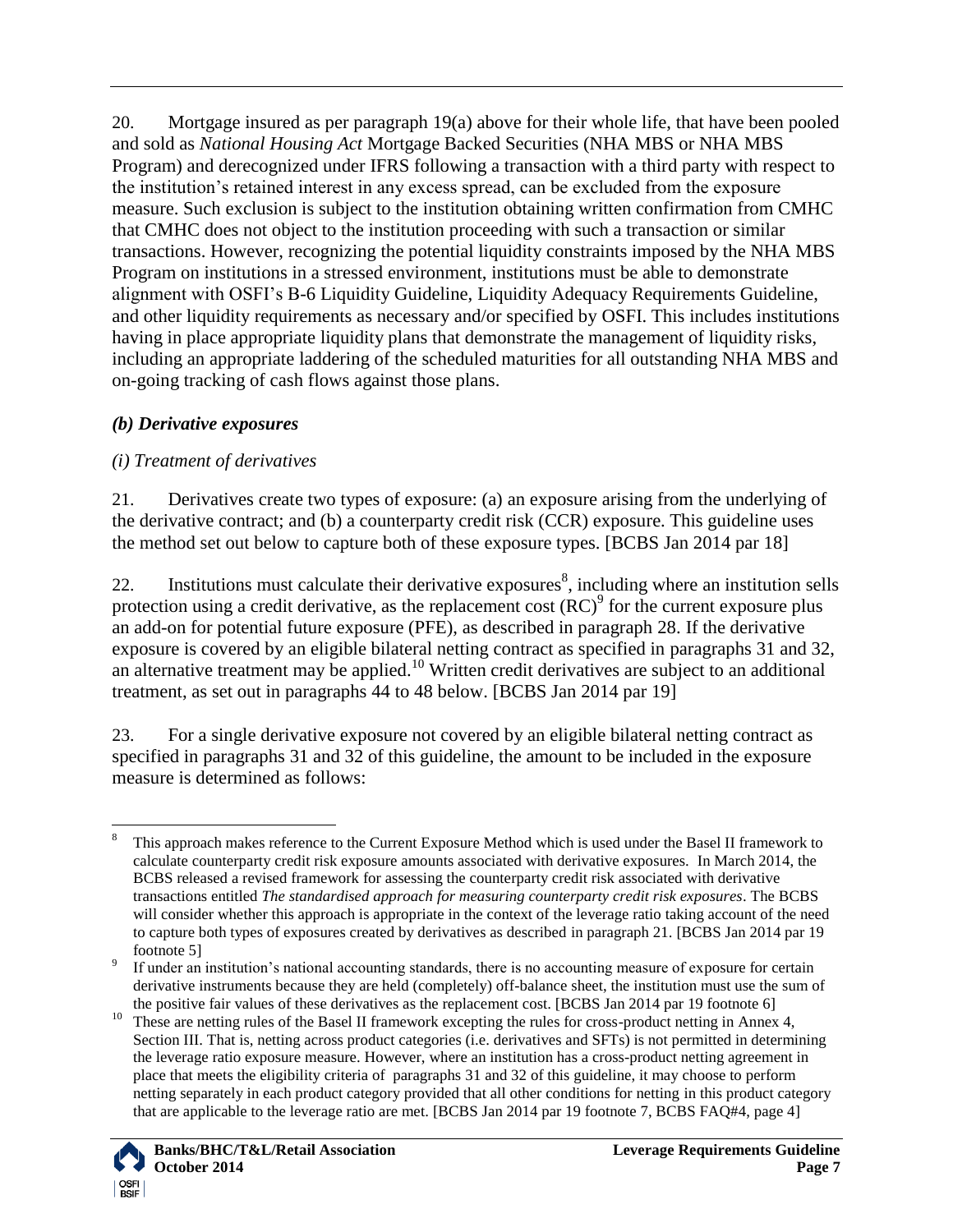20. Mortgage insured as per paragraph [19\(](#page-5-0)a) above for their whole life, that have been pooled and sold as *National Housing Act* Mortgage Backed Securities (NHA MBS or NHA MBS Program) and derecognized under IFRS following a transaction with a third party with respect to the institution"s retained interest in any excess spread, can be excluded from the exposure measure. Such exclusion is subject to the institution obtaining written confirmation from CMHC that CMHC does not object to the institution proceeding with such a transaction or similar transactions. However, recognizing the potential liquidity constraints imposed by the NHA MBS Program on institutions in a stressed environment, institutions must be able to demonstrate alignment with OSFI"s B-6 Liquidity Guideline, Liquidity Adequacy Requirements Guideline, and other liquidity requirements as necessary and/or specified by OSFI. This includes institutions having in place appropriate liquidity plans that demonstrate the management of liquidity risks, including an appropriate laddering of the scheduled maturities for all outstanding NHA MBS and on-going tracking of cash flows against those plans.

## <span id="page-6-0"></span>*(b) Derivative exposures*

## <span id="page-6-1"></span>*(i) Treatment of derivatives*

<span id="page-6-2"></span>21. Derivatives create two types of exposure: (a) an exposure arising from the underlying of the derivative contract; and (b) a counterparty credit risk (CCR) exposure. This guideline uses the method set out below to capture both of these exposure types. [BCBS Jan 2014 par 18]

<span id="page-6-3"></span>22. Institutions must calculate their derivative exposures<sup>8</sup>, including where an institution sells protection using a credit derivative, as the replacement cost  $(RC)^9$  for the current exposure plus an add-on for potential future exposure (PFE), as described in paragraph [28.](#page-8-1) If the derivative exposure is covered by an eligible bilateral netting contract as specified in paragraphs [31](#page-8-2) and [32,](#page-9-0) an alternative treatment may be applied.<sup>10</sup> Written credit derivatives are subject to an additional treatment, as set out in paragraphs [44](#page-13-1) to [48](#page-14-0) below. [BCBS Jan 2014 par 19]

23. For a single derivative exposure not covered by an eligible bilateral netting contract as specified in paragraphs [31](#page-8-2) and [32](#page-9-0) of this guideline, the amount to be included in the exposure measure is determined as follows:

<sup>&</sup>lt;sup>10</sup> These are netting rules of the Basel II framework excepting the rules for cross-product netting in Annex 4, Section III. That is, netting across product categories (i.e. derivatives and SFTs) is not permitted in determining the leverage ratio exposure measure. However, where an institution has a cross-product netting agreement in place that meets the eligibility criteria of paragraphs [31](#page-8-2) an[d 32](#page-9-0) of this guideline, it may choose to perform netting separately in each product category provided that all other conditions for netting in this product category that are applicable to the leverage ratio are met. [BCBS Jan 2014 par 19 footnote 7, BCBS FAQ#4, page 4]



 $\overline{a}$ <sup>8</sup> This approach makes reference to the Current Exposure Method which is used under the Basel II framework to calculate counterparty credit risk exposure amounts associated with derivative exposures. In March 2014, the BCBS released a revised framework for assessing the counterparty credit risk associated with derivative transactions entitled *The standardised approach for measuring counterparty credit risk exposures*. The BCBS will consider whether this approach is appropriate in the context of the leverage ratio taking account of the need to capture both types of exposures created by derivatives as described in paragrap[h 21.](#page-6-2) [BCBS Jan 2014 par 19 footnote 5]

<sup>9</sup> If under an institution"s national accounting standards, there is no accounting measure of exposure for certain derivative instruments because they are held (completely) off-balance sheet, the institution must use the sum of the positive fair values of these derivatives as the replacement cost. [BCBS Jan 2014 par 19 footnote 6]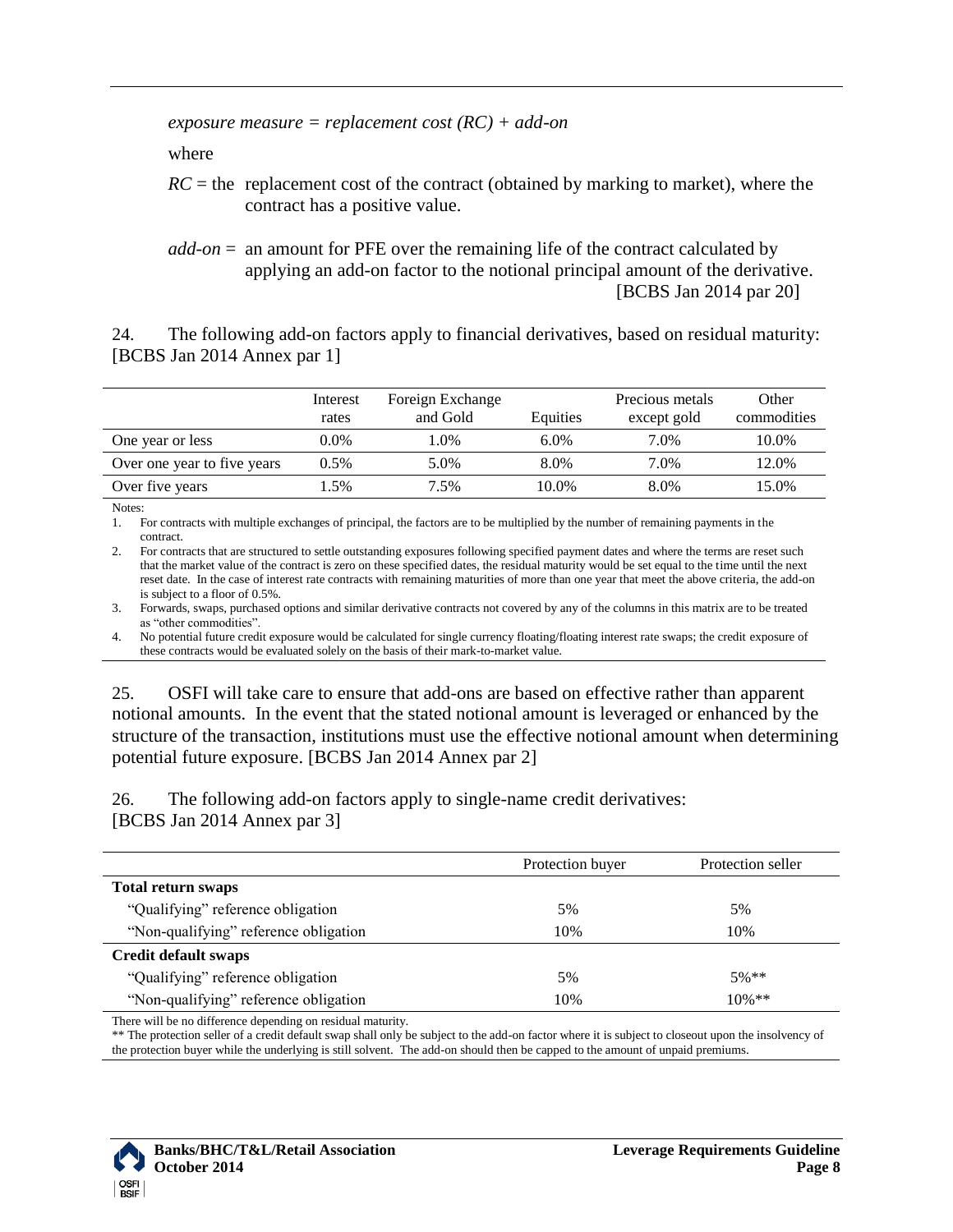#### *exposure measure = replacement cost (RC) + add-on*

where

 $RC =$  the replacement cost of the contract (obtained by marking to market), where the contract has a positive value.

*add-on* = an amount for PFE over the remaining life of the contract calculated by applying an add-on factor to the notional principal amount of the derivative. [BCBS Jan 2014 par 20]

<span id="page-7-0"></span>24. The following add-on factors apply to financial derivatives, based on residual maturity: [BCBS Jan 2014 Annex par 1]

|                             | Interest | Foreign Exchange |          | Precious metals | Other       |
|-----------------------------|----------|------------------|----------|-----------------|-------------|
|                             | rates    | and Gold         | Equities | except gold     | commodities |
| One year or less            | $0.0\%$  | .0%              | 6.0%     | 7.0%            | 10.0%       |
| Over one year to five years | 0.5%     | 5.0%             | 8.0%     | 7.0%            | 12.0%       |
| Over five years             | .5%      | 7.5%             | 10.0%    | 8.0%            | 15.0%       |

Notes:

1. For contracts with multiple exchanges of principal, the factors are to be multiplied by the number of remaining payments in the contract.

2. For contracts that are structured to settle outstanding exposures following specified payment dates and where the terms are reset such that the market value of the contract is zero on these specified dates, the residual maturity would be set equal to the time until the next reset date. In the case of interest rate contracts with remaining maturities of more than one year that meet the above criteria, the add-on is subject to a floor of 0.5%.

3. Forwards, swaps, purchased options and similar derivative contracts not covered by any of the columns in this matrix are to be treated as "other commodities".

4. No potential future credit exposure would be calculated for single currency floating/floating interest rate swaps; the credit exposure of these contracts would be evaluated solely on the basis of their mark-to-market value.

25. OSFI will take care to ensure that add-ons are based on effective rather than apparent notional amounts. In the event that the stated notional amount is leveraged or enhanced by the structure of the transaction, institutions must use the effective notional amount when determining potential future exposure. [BCBS Jan 2014 Annex par 2]

26. The following add-on factors apply to single-name credit derivatives: [BCBS Jan 2014 Annex par 3]

|                                       | Protection buyer | Protection seller |
|---------------------------------------|------------------|-------------------|
| <b>Total return swaps</b>             |                  |                   |
| "Qualifying" reference obligation     | 5%               | 5%                |
| "Non-qualifying" reference obligation | 10%              | 10%               |
| <b>Credit default swaps</b>           |                  |                   |
| "Qualifying" reference obligation     | 5%               | $5%$ **           |
| "Non-qualifying" reference obligation | 10%              | $10\%$ **         |
|                                       |                  |                   |

There will be no difference depending on residual maturity.

\*\* The protection seller of a credit default swap shall only be subject to the add-on factor where it is subject to closeout upon the insolvency of the protection buyer while the underlying is still solvent. The add-on should then be capped to the amount of unpaid premiums.

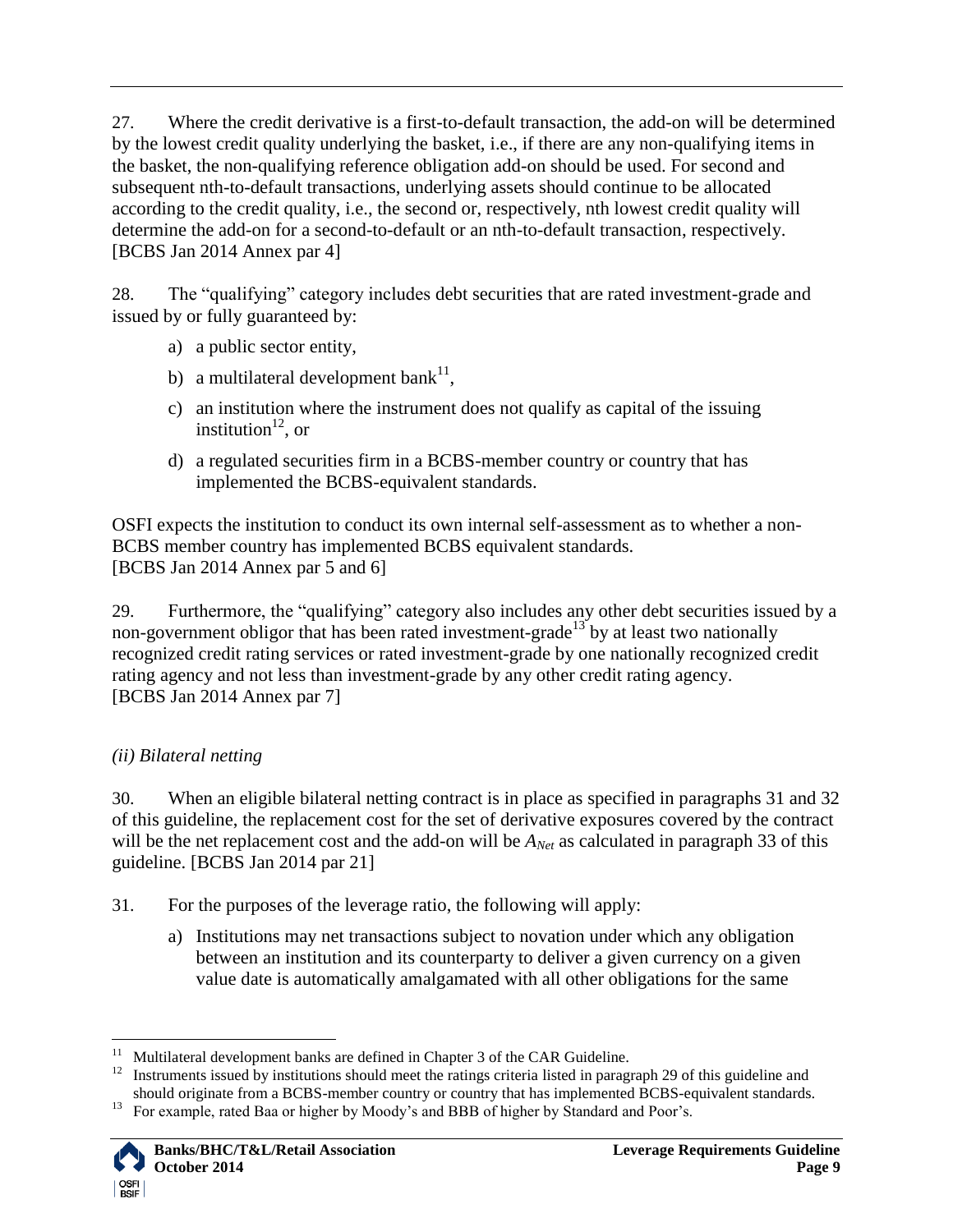27. Where the credit derivative is a first-to-default transaction, the add-on will be determined by the lowest credit quality underlying the basket, i.e., if there are any non-qualifying items in the basket, the non-qualifying reference obligation add-on should be used. For second and subsequent nth-to-default transactions, underlying assets should continue to be allocated according to the credit quality, i.e., the second or, respectively, nth lowest credit quality will determine the add-on for a second-to-default or an nth-to-default transaction, respectively. [BCBS Jan 2014 Annex par 4]

<span id="page-8-1"></span>28. The "qualifying" category includes debt securities that are rated investment-grade and issued by or fully guaranteed by:

- a) a public sector entity,
- b) a multilateral development bank<sup>11</sup>,
- c) an institution where the instrument does not qualify as capital of the issuing institution $^{12}$ , or
- d) a regulated securities firm in a BCBS-member country or country that has implemented the BCBS-equivalent standards.

OSFI expects the institution to conduct its own internal self-assessment as to whether a non-BCBS member country has implemented BCBS equivalent standards. [BCBS Jan 2014 Annex par 5 and 6]

<span id="page-8-3"></span>29. Furthermore, the "qualifying" category also includes any other debt securities issued by a non-government obligor that has been rated investment-grade<sup>13</sup> by at least two nationally recognized credit rating services or rated investment-grade by one nationally recognized credit rating agency and not less than investment-grade by any other credit rating agency. [BCBS Jan 2014 Annex par 7]

## <span id="page-8-0"></span>*(ii) Bilateral netting*

30. When an eligible bilateral netting contract is in place as specified in paragraphs [31](#page-8-2) and [32](#page-9-0) of this guideline, the replacement cost for the set of derivative exposures covered by the contract will be the net replacement cost and the add-on will be  $A_{Net}$  as calculated in paragraph [33](#page-9-1) of this guideline. [BCBS Jan 2014 par 21]

<span id="page-8-2"></span>31. For the purposes of the leverage ratio, the following will apply:

a) Institutions may net transactions subject to novation under which any obligation between an institution and its counterparty to deliver a given currency on a given value date is automatically amalgamated with all other obligations for the same

<sup>&</sup>lt;sup>13</sup> For example, rated Baa or higher by Moody's and BBB of higher by Standard and Poor's.



 $11 -$ Multilateral development banks are defined in Chapter 3 of the CAR Guideline.

<sup>&</sup>lt;sup>12</sup> Instruments issued by institutions should meet the ratings criteria listed in paragraph [29](#page-8-3) of this guideline and should originate from a BCBS-member country or country that has implemented BCBS-equivalent standards.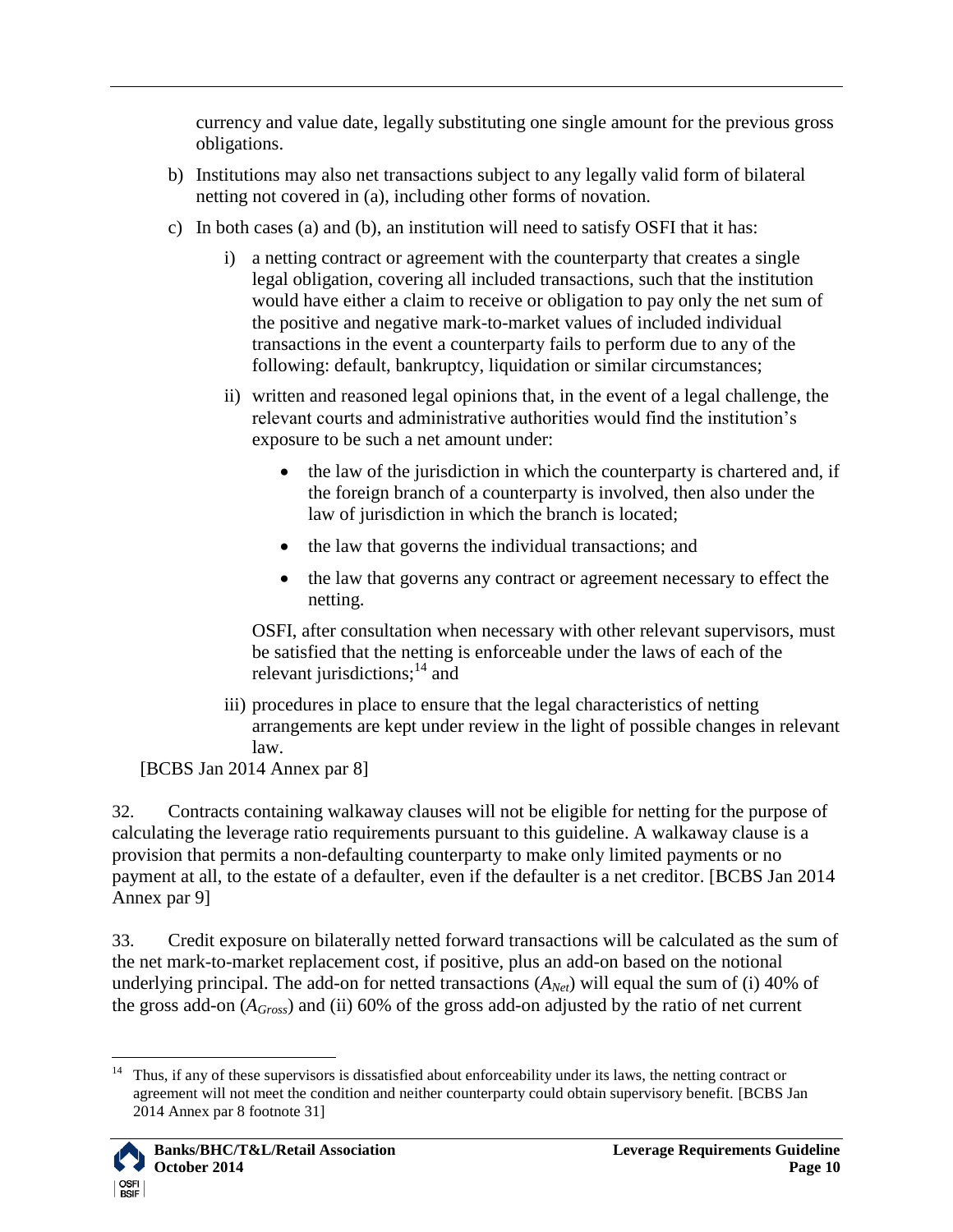currency and value date, legally substituting one single amount for the previous gross obligations.

- b) Institutions may also net transactions subject to any legally valid form of bilateral netting not covered in (a), including other forms of novation.
- c) In both cases (a) and (b), an institution will need to satisfy OSFI that it has:
	- i) a netting contract or agreement with the counterparty that creates a single legal obligation, covering all included transactions, such that the institution would have either a claim to receive or obligation to pay only the net sum of the positive and negative mark-to-market values of included individual transactions in the event a counterparty fails to perform due to any of the following: default, bankruptcy, liquidation or similar circumstances;
	- ii) written and reasoned legal opinions that, in the event of a legal challenge, the relevant courts and administrative authorities would find the institution"s exposure to be such a net amount under:
		- the law of the jurisdiction in which the counterparty is chartered and, if the foreign branch of a counterparty is involved, then also under the law of jurisdiction in which the branch is located;
		- the law that governs the individual transactions; and
		- the law that governs any contract or agreement necessary to effect the netting.

OSFI, after consultation when necessary with other relevant supervisors, must be satisfied that the netting is enforceable under the laws of each of the relevant jurisdictions;<sup>14</sup> and

- iii) procedures in place to ensure that the legal characteristics of netting arrangements are kept under review in the light of possible changes in relevant law.
- [BCBS Jan 2014 Annex par 8]

<span id="page-9-0"></span>32. Contracts containing walkaway clauses will not be eligible for netting for the purpose of calculating the leverage ratio requirements pursuant to this guideline. A walkaway clause is a provision that permits a non-defaulting counterparty to make only limited payments or no payment at all, to the estate of a defaulter, even if the defaulter is a net creditor. [BCBS Jan 2014 Annex par 9]

<span id="page-9-1"></span>33. Credit exposure on bilaterally netted forward transactions will be calculated as the sum of the net mark-to-market replacement cost, if positive, plus an add-on based on the notional underlying principal. The add-on for netted transactions  $(A_{Net})$  will equal the sum of (i) 40% of the gross add-on (*AGross*) and (ii) 60% of the gross add-on adjusted by the ratio of net current

 $\overline{a}$ <sup>14</sup> Thus, if any of these supervisors is dissatisfied about enforceability under its laws, the netting contract or agreement will not meet the condition and neither counterparty could obtain supervisory benefit. [BCBS Jan 2014 Annex par 8 footnote 31]

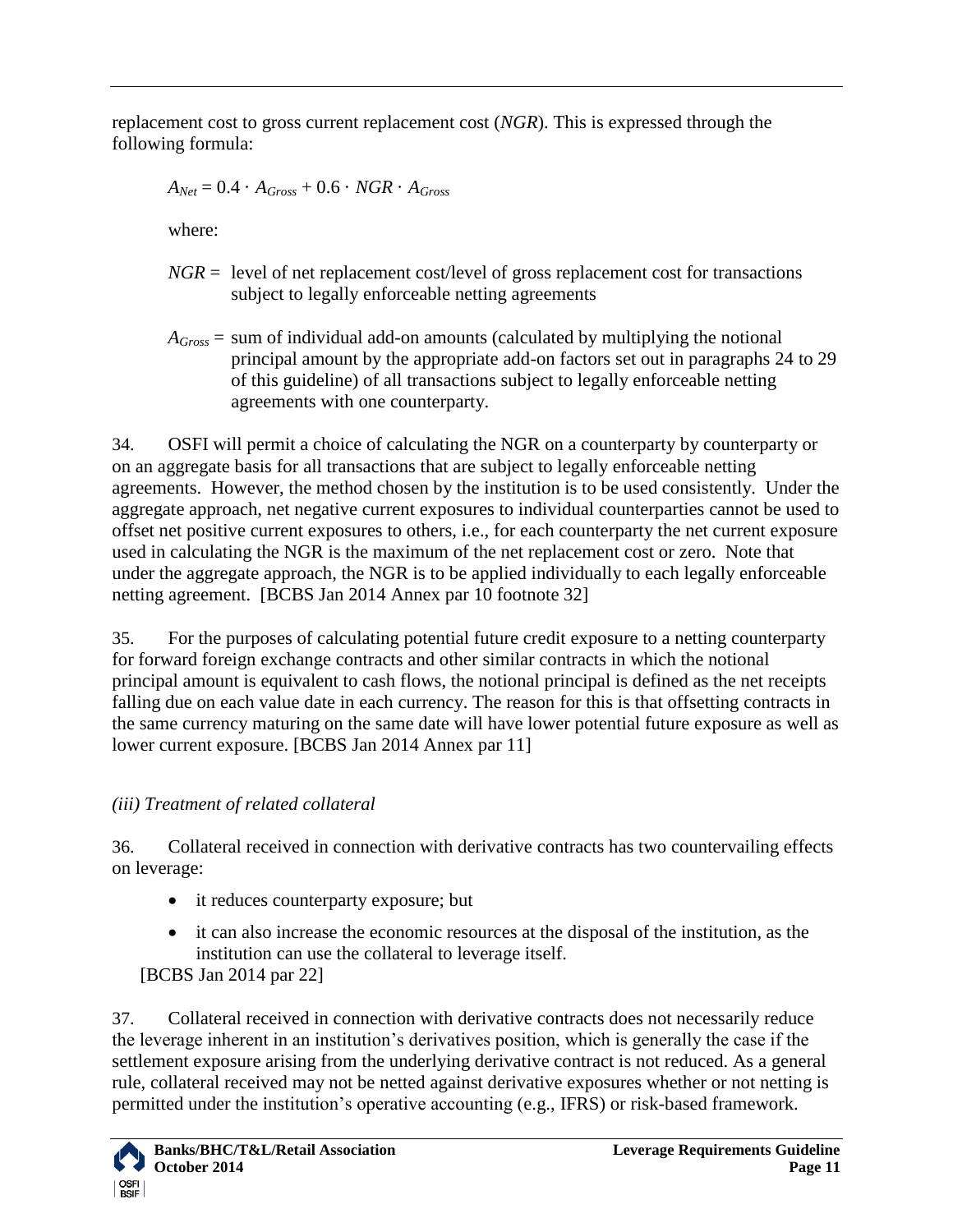replacement cost to gross current replacement cost (*NGR*). This is expressed through the following formula:

$$
A_{Net} = 0.4 \, \cdot A_{Gross} + 0.6 \, \cdot \, NGR \, \cdot A_{Gross}
$$

where:

- $NGR =$  level of net replacement cost/level of gross replacement cost for transactions subject to legally enforceable netting agreements
- *AGross* = sum of individual add-on amounts (calculated by multiplying the notional principal amount by the appropriate add-on factors set out in paragraphs [24](#page-7-0) to [29](#page-8-3) of this guideline) of all transactions subject to legally enforceable netting agreements with one counterparty.

34. OSFI will permit a choice of calculating the NGR on a counterparty by counterparty or on an aggregate basis for all transactions that are subject to legally enforceable netting agreements. However, the method chosen by the institution is to be used consistently. Under the aggregate approach, net negative current exposures to individual counterparties cannot be used to offset net positive current exposures to others, i.e., for each counterparty the net current exposure used in calculating the NGR is the maximum of the net replacement cost or zero. Note that under the aggregate approach, the NGR is to be applied individually to each legally enforceable netting agreement. [BCBS Jan 2014 Annex par 10 footnote 32]

<span id="page-10-1"></span>35. For the purposes of calculating potential future credit exposure to a netting counterparty for forward foreign exchange contracts and other similar contracts in which the notional principal amount is equivalent to cash flows, the notional principal is defined as the net receipts falling due on each value date in each currency. The reason for this is that offsetting contracts in the same currency maturing on the same date will have lower potential future exposure as well as lower current exposure. [BCBS Jan 2014 Annex par 11]

# <span id="page-10-0"></span>*(iii) Treatment of related collateral*

36. Collateral received in connection with derivative contracts has two countervailing effects on leverage:

- it reduces counterparty exposure; but
- it can also increase the economic resources at the disposal of the institution, as the institution can use the collateral to leverage itself.

[BCBS Jan 2014 par 22]

37. Collateral received in connection with derivative contracts does not necessarily reduce the leverage inherent in an institution"s derivatives position, which is generally the case if the settlement exposure arising from the underlying derivative contract is not reduced. As a general rule, collateral received may not be netted against derivative exposures whether or not netting is permitted under the institution"s operative accounting (e.g., IFRS) or risk-based framework.

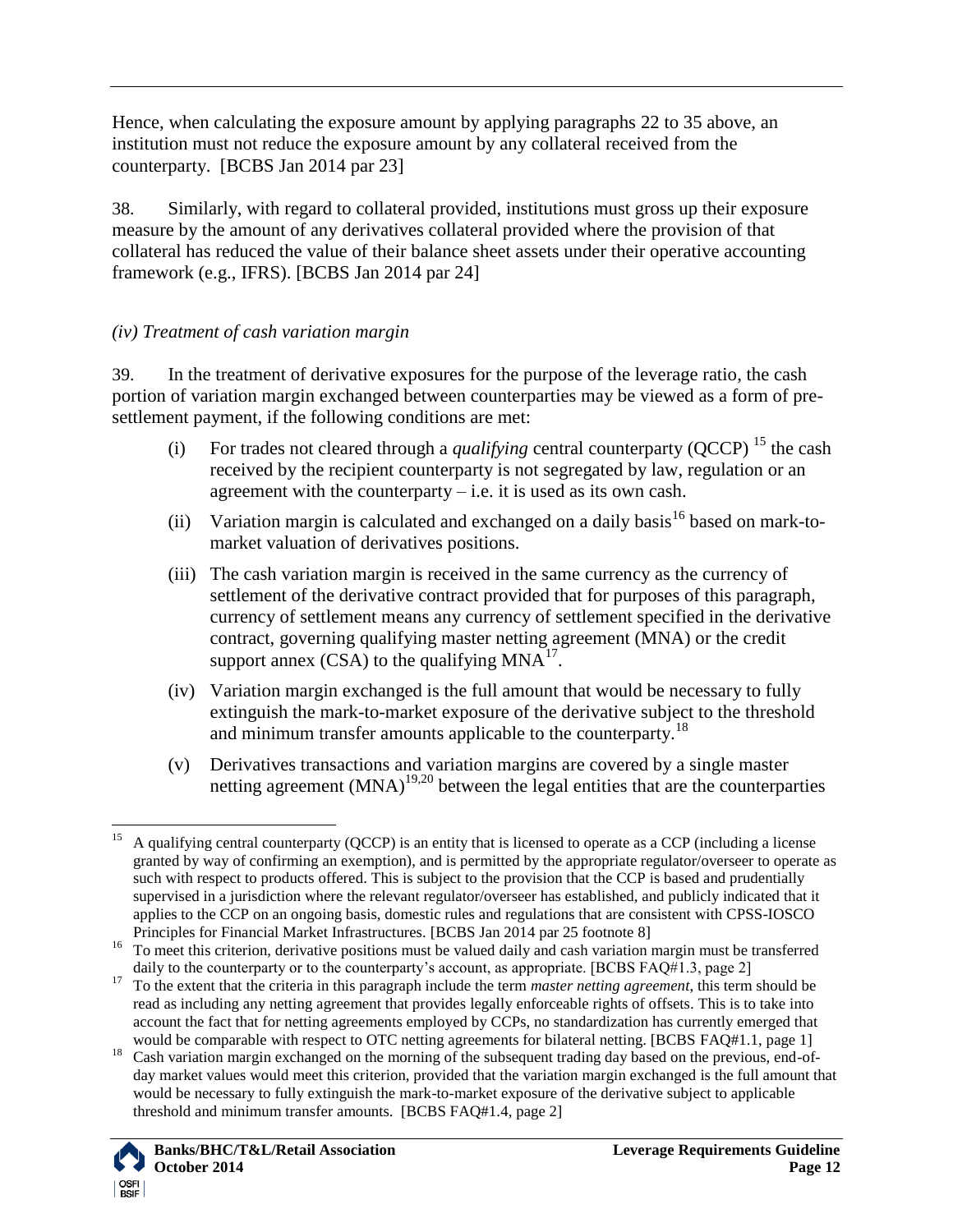Hence, when calculating the exposure amount by applying paragraphs [22](#page-6-3) to [35](#page-10-1) above, an institution must not reduce the exposure amount by any collateral received from the counterparty. [BCBS Jan 2014 par 23]

38. Similarly, with regard to collateral provided, institutions must gross up their exposure measure by the amount of any derivatives collateral provided where the provision of that collateral has reduced the value of their balance sheet assets under their operative accounting framework (e.g., IFRS). [BCBS Jan 2014 par 24]

## <span id="page-11-0"></span>*(iv) Treatment of cash variation margin*

<span id="page-11-1"></span>39. In the treatment of derivative exposures for the purpose of the leverage ratio, the cash portion of variation margin exchanged between counterparties may be viewed as a form of presettlement payment, if the following conditions are met:

- (i) For trades not cleared through a *qualifying* central counterparty (QCCP) <sup>15</sup> the cash received by the recipient counterparty is not segregated by law, regulation or an agreement with the counterparty  $-$  i.e. it is used as its own cash.
- (ii) Variation margin is calculated and exchanged on a daily basis<sup>16</sup> based on mark-tomarket valuation of derivatives positions.
- (iii) The cash variation margin is received in the same currency as the currency of settlement of the derivative contract provided that for purposes of this paragraph, currency of settlement means any currency of settlement specified in the derivative contract, governing qualifying master netting agreement (MNA) or the credit support annex  $(CSA)$  to the qualifying  $MNA<sup>17</sup>$ .
- <span id="page-11-2"></span>(iv) Variation margin exchanged is the full amount that would be necessary to fully extinguish the mark-to-market exposure of the derivative subject to the threshold and minimum transfer amounts applicable to the counterparty.<sup>18</sup>
- (v) Derivatives transactions and variation margins are covered by a single master netting agreement  $(MNA)^{19,20}$  between the legal entities that are the counterparties

<sup>&</sup>lt;sup>18</sup> Cash variation margin exchanged on the morning of the subsequent trading day based on the previous, end-ofday market values would meet this criterion, provided that the variation margin exchanged is the full amount that would be necessary to fully extinguish the mark-to-market exposure of the derivative subject to applicable threshold and minimum transfer amounts. [BCBS FAQ#1.4, page 2]



 $\overline{a}$ <sup>15</sup> A qualifying central counterparty (QCCP) is an entity that is licensed to operate as a CCP (including a license granted by way of confirming an exemption), and is permitted by the appropriate regulator/overseer to operate as such with respect to products offered. This is subject to the provision that the CCP is based and prudentially supervised in a jurisdiction where the relevant regulator/overseer has established, and publicly indicated that it applies to the CCP on an ongoing basis, domestic rules and regulations that are consistent with CPSS-IOSCO Principles for Financial Market Infrastructures. [BCBS Jan 2014 par 25 footnote 8]

<sup>&</sup>lt;sup>16</sup> To meet this criterion, derivative positions must be valued daily and cash variation margin must be transferred daily to the counterparty or to the counterparty's account, as appropriate. [BCBS FAQ#1.3, page 2]

<sup>&</sup>lt;sup>17</sup> To the extent that the criteria in this paragraph include the term *master netting agreement*, this term should be read as including any netting agreement that provides legally enforceable rights of offsets. This is to take into account the fact that for netting agreements employed by CCPs, no standardization has currently emerged that would be comparable with respect to OTC netting agreements for bilateral netting. [BCBS FAQ#1.1, page 1]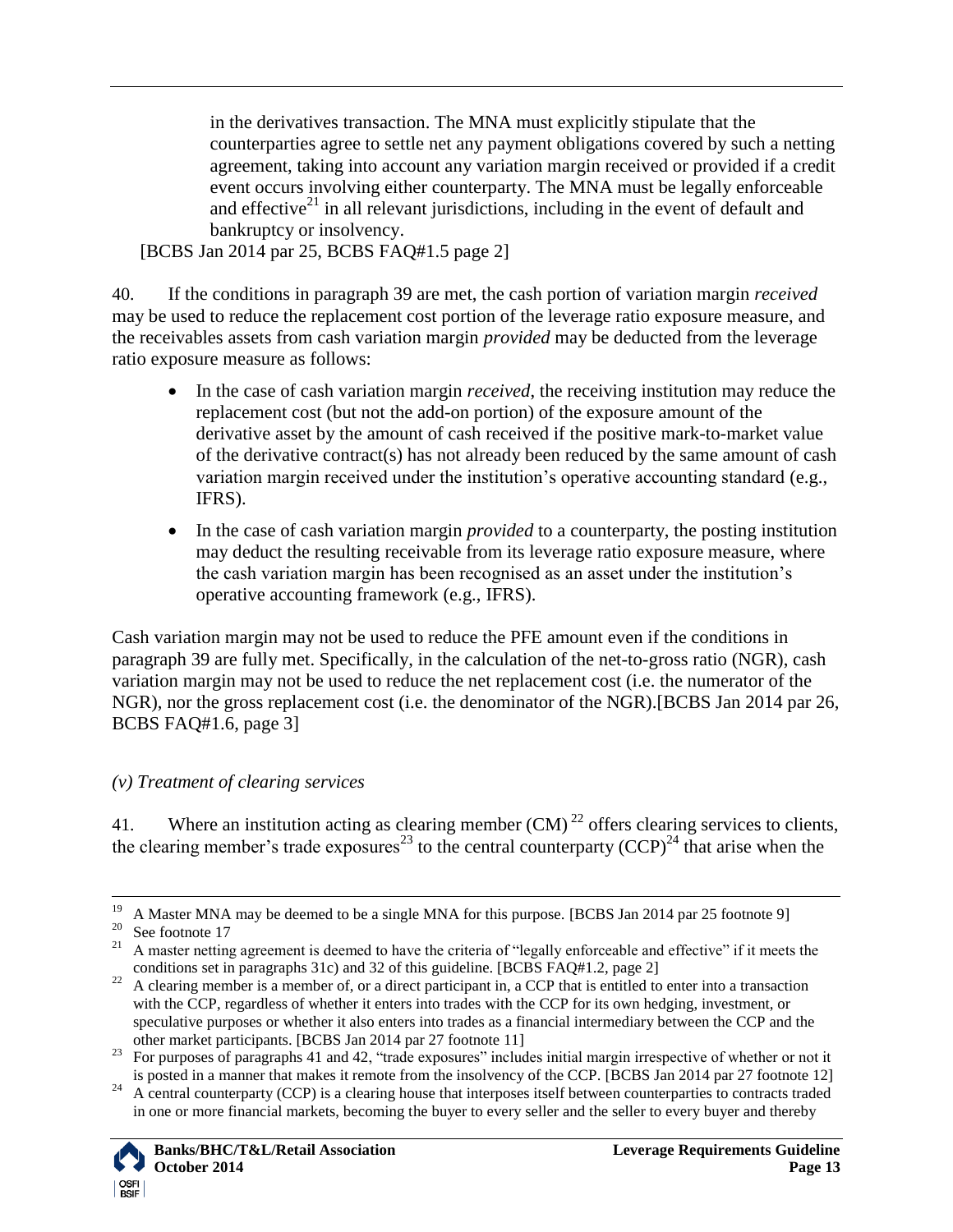in the derivatives transaction. The MNA must explicitly stipulate that the counterparties agree to settle net any payment obligations covered by such a netting agreement, taking into account any variation margin received or provided if a credit event occurs involving either counterparty. The MNA must be legally enforceable and effective $21$  in all relevant jurisdictions, including in the event of default and bankruptcy or insolvency.

[BCBS Jan 2014 par 25, BCBS FAQ#1.5 page 2]

<span id="page-12-2"></span>40. If the conditions in paragraph [39](#page-11-1) are met, the cash portion of variation margin *received*  may be used to reduce the replacement cost portion of the leverage ratio exposure measure, and the receivables assets from cash variation margin *provided* may be deducted from the leverage ratio exposure measure as follows:

- In the case of cash variation margin *received*, the receiving institution may reduce the replacement cost (but not the add-on portion) of the exposure amount of the derivative asset by the amount of cash received if the positive mark-to-market value of the derivative contract(s) has not already been reduced by the same amount of cash variation margin received under the institution's operative accounting standard (e.g., IFRS).
- In the case of cash variation margin *provided* to a counterparty, the posting institution may deduct the resulting receivable from its leverage ratio exposure measure, where the cash variation margin has been recognised as an asset under the institution"s operative accounting framework (e.g., IFRS).

Cash variation margin may not be used to reduce the PFE amount even if the conditions in paragraph [39](#page-11-1) are fully met. Specifically, in the calculation of the net-to-gross ratio (NGR), cash variation margin may not be used to reduce the net replacement cost (i.e. the numerator of the NGR), nor the gross replacement cost (i.e. the denominator of the NGR).[BCBS Jan 2014 par 26, BCBS FAQ#1.6, page 3]

## <span id="page-12-0"></span>*(v) Treatment of clearing services*

<span id="page-12-1"></span>41. Where an institution acting as clearing member  $(CM)^{22}$  offers clearing services to clients, the clearing member's trade exposures<sup>23</sup> to the central counterparty  $(CCP)^{24}$  that arise when the

<sup>&</sup>lt;sup>24</sup> A central counterparty (CCP) is a clearing house that interposes itself between counterparties to contracts traded in one or more financial markets, becoming the buyer to every seller and the seller to every buyer and thereby



 $19$  A Master MNA may be deemed to be a single MNA for this purpose. [BCBS Jan 2014 par 25 footnote 9]

 $20$  See footnote [17](#page-11-2)

<sup>&</sup>lt;sup>21</sup> A master netting agreement is deemed to have the criteria of "legally enforceable and effective" if it meets the conditions set in paragraphs [31c](#page-8-2)) and [32](#page-9-0) of this guideline. [BCBS FAQ#1.2, page 2]

<sup>&</sup>lt;sup>22</sup> A clearing member is a member of, or a direct participant in, a CCP that is entitled to enter into a transaction with the CCP, regardless of whether it enters into trades with the CCP for its own hedging, investment, or speculative purposes or whether it also enters into trades as a financial intermediary between the CCP and the other market participants. [BCBS Jan 2014 par 27 footnote 11]

<sup>&</sup>lt;sup>23</sup> For purposes of paragraphs [41](#page-12-1) an[d 42,](#page-13-2) "trade exposures" includes initial margin irrespective of whether or not it is posted in a manner that makes it remote from the insolvency of the CCP. [BCBS Jan 2014 par 27 footnote 12]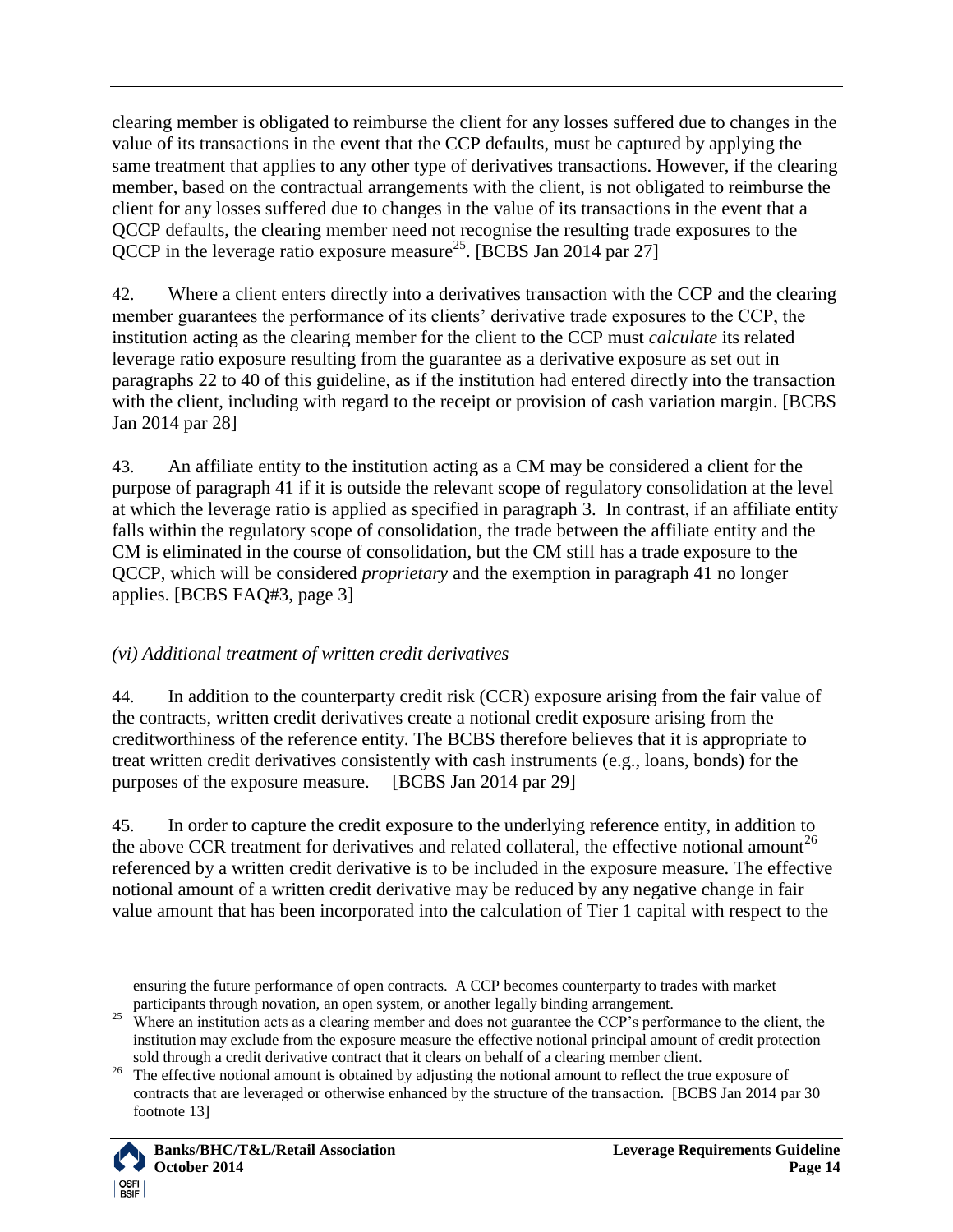clearing member is obligated to reimburse the client for any losses suffered due to changes in the value of its transactions in the event that the CCP defaults, must be captured by applying the same treatment that applies to any other type of derivatives transactions. However, if the clearing member, based on the contractual arrangements with the client, is not obligated to reimburse the client for any losses suffered due to changes in the value of its transactions in the event that a QCCP defaults, the clearing member need not recognise the resulting trade exposures to the QCCP in the leverage ratio exposure measure<sup>25</sup>. [BCBS Jan 2014 par 27]

<span id="page-13-2"></span>42. Where a client enters directly into a derivatives transaction with the CCP and the clearing member guarantees the performance of its clients' derivative trade exposures to the CCP, the institution acting as the clearing member for the client to the CCP must *calculate* its related leverage ratio exposure resulting from the guarantee as a derivative exposure as set out in paragraphs [22](#page-6-3) to [40](#page-12-2) of this guideline, as if the institution had entered directly into the transaction with the client, including with regard to the receipt or provision of cash variation margin. [BCBS] Jan 2014 par 28]

43. An affiliate entity to the institution acting as a CM may be considered a client for the purpose of paragraph [41](#page-12-1) if it is outside the relevant scope of regulatory consolidation at the level at which the leverage ratio is applied as specified in paragraph [3.](#page-2-5) In contrast, if an affiliate entity falls within the regulatory scope of consolidation, the trade between the affiliate entity and the CM is eliminated in the course of consolidation, but the CM still has a trade exposure to the QCCP, which will be considered *proprietary* and the exemption in paragraph [41](#page-12-1) no longer applies. [BCBS FAQ#3, page 3]

## <span id="page-13-0"></span>*(vi) Additional treatment of written credit derivatives*

<span id="page-13-1"></span>44. In addition to the counterparty credit risk (CCR) exposure arising from the fair value of the contracts, written credit derivatives create a notional credit exposure arising from the creditworthiness of the reference entity. The BCBS therefore believes that it is appropriate to treat written credit derivatives consistently with cash instruments (e.g., loans, bonds) for the purposes of the exposure measure. [BCBS Jan 2014 par 29]

<span id="page-13-3"></span>45. In order to capture the credit exposure to the underlying reference entity, in addition to the above CCR treatment for derivatives and related collateral, the effective notional amount<sup>26</sup> referenced by a written credit derivative is to be included in the exposure measure. The effective notional amount of a written credit derivative may be reduced by any negative change in fair value amount that has been incorporated into the calculation of Tier 1 capital with respect to the

<sup>&</sup>lt;sup>26</sup> The effective notional amount is obtained by adjusting the notional amount to reflect the true exposure of contracts that are leveraged or otherwise enhanced by the structure of the transaction. [BCBS Jan 2014 par 30 footnote 13]



ensuring the future performance of open contracts. A CCP becomes counterparty to trades with market participants through novation, an open system, or another legally binding arrangement.

<sup>&</sup>lt;sup>25</sup> Where an institution acts as a clearing member and does not guarantee the CCP's performance to the client, the institution may exclude from the exposure measure the effective notional principal amount of credit protection sold through a credit derivative contract that it clears on behalf of a clearing member client.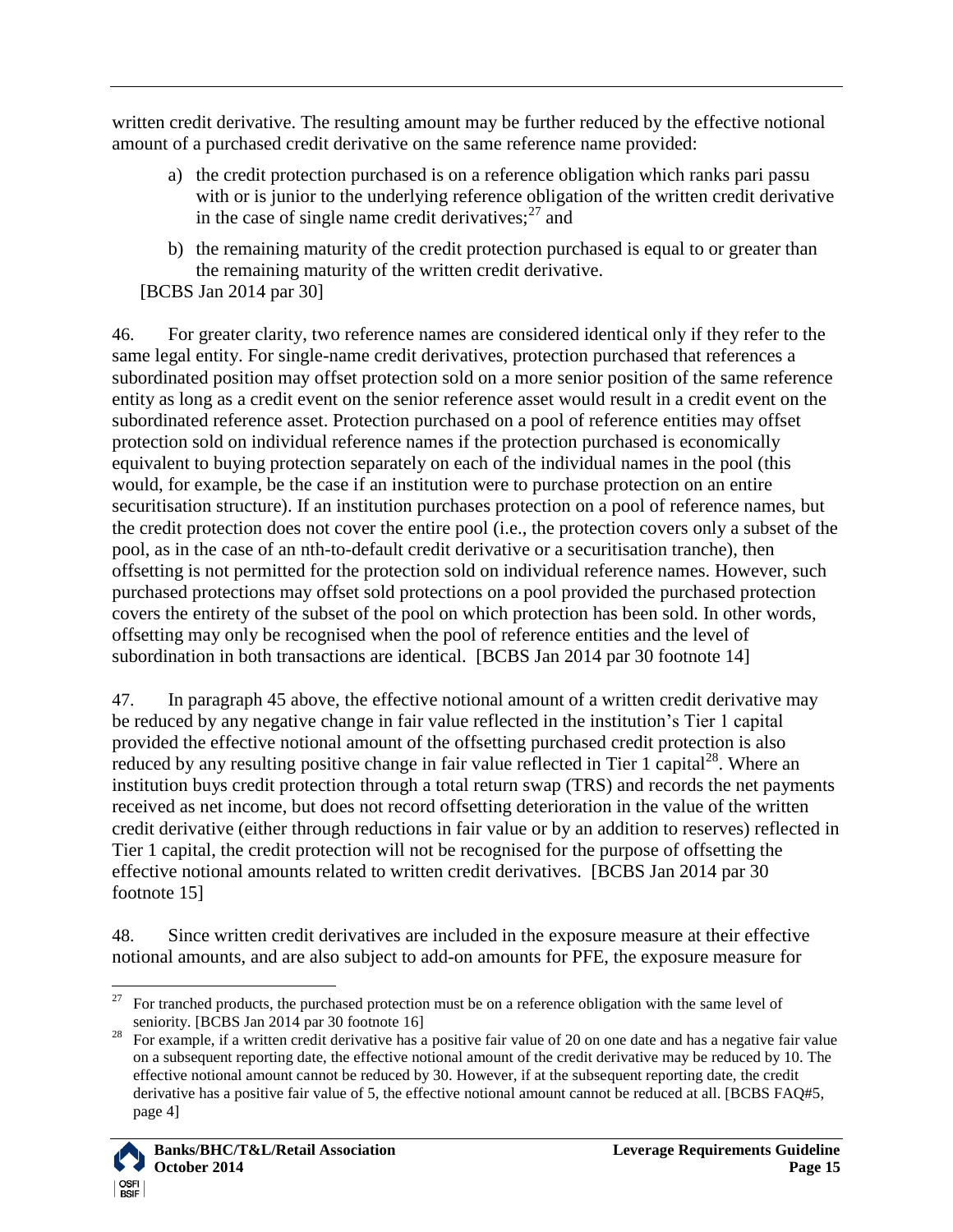written credit derivative. The resulting amount may be further reduced by the effective notional amount of a purchased credit derivative on the same reference name provided:

- a) the credit protection purchased is on a reference obligation which ranks pari passu with or is junior to the underlying reference obligation of the written credit derivative in the case of single name credit derivatives; $27$  and
- b) the remaining maturity of the credit protection purchased is equal to or greater than the remaining maturity of the written credit derivative.
- [BCBS Jan 2014 par 30]

<span id="page-14-1"></span>46. For greater clarity, two reference names are considered identical only if they refer to the same legal entity. For single-name credit derivatives, protection purchased that references a subordinated position may offset protection sold on a more senior position of the same reference entity as long as a credit event on the senior reference asset would result in a credit event on the subordinated reference asset. Protection purchased on a pool of reference entities may offset protection sold on individual reference names if the protection purchased is economically equivalent to buying protection separately on each of the individual names in the pool (this would, for example, be the case if an institution were to purchase protection on an entire securitisation structure). If an institution purchases protection on a pool of reference names, but the credit protection does not cover the entire pool (i.e., the protection covers only a subset of the pool, as in the case of an nth-to-default credit derivative or a securitisation tranche), then offsetting is not permitted for the protection sold on individual reference names. However, such purchased protections may offset sold protections on a pool provided the purchased protection covers the entirety of the subset of the pool on which protection has been sold. In other words, offsetting may only be recognised when the pool of reference entities and the level of subordination in both transactions are identical. [BCBS Jan 2014 par 30 footnote 14]

47. In paragraph [45](#page-13-3) above, the effective notional amount of a written credit derivative may be reduced by any negative change in fair value reflected in the institution"s Tier 1 capital provided the effective notional amount of the offsetting purchased credit protection is also reduced by any resulting positive change in fair value reflected in Tier 1 capital<sup>28</sup>. Where an institution buys credit protection through a total return swap (TRS) and records the net payments received as net income, but does not record offsetting deterioration in the value of the written credit derivative (either through reductions in fair value or by an addition to reserves) reflected in Tier 1 capital, the credit protection will not be recognised for the purpose of offsetting the effective notional amounts related to written credit derivatives. [BCBS Jan 2014 par 30 footnote 15]

<span id="page-14-0"></span>48. Since written credit derivatives are included in the exposure measure at their effective notional amounts, and are also subject to add-on amounts for PFE, the exposure measure for

<sup>&</sup>lt;sup>28</sup> For example, if a written credit derivative has a positive fair value of 20 on one date and has a negative fair value on a subsequent reporting date, the effective notional amount of the credit derivative may be reduced by 10. The effective notional amount cannot be reduced by 30. However, if at the subsequent reporting date, the credit derivative has a positive fair value of 5, the effective notional amount cannot be reduced at all. [BCBS FAO#5, page 4]



 $\overline{a}$ <sup>27</sup> For tranched products, the purchased protection must be on a reference obligation with the same level of seniority. [BCBS Jan 2014 par 30 footnote 16]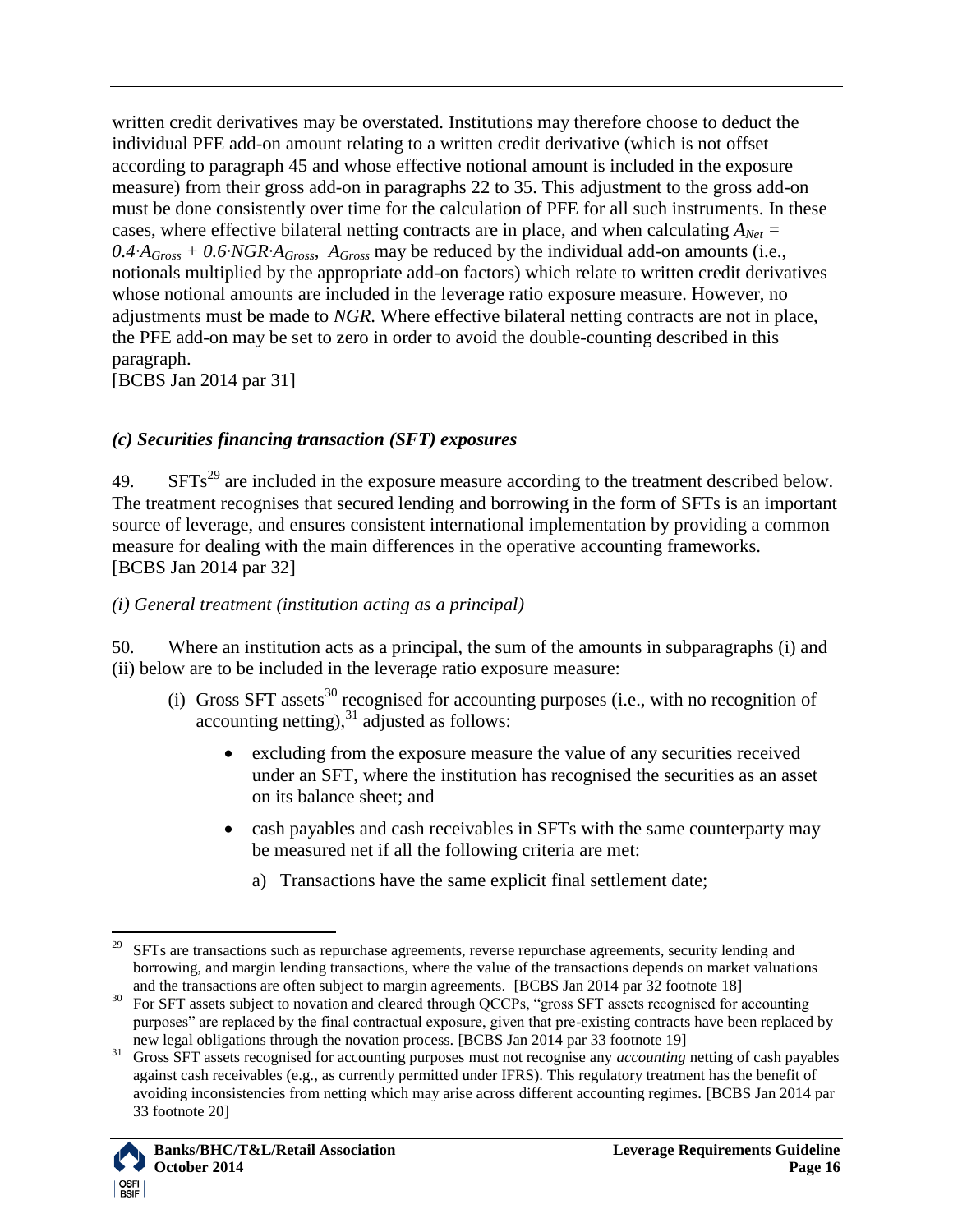written credit derivatives may be overstated. Institutions may therefore choose to deduct the individual PFE add-on amount relating to a written credit derivative (which is not offset according to paragraph [45](#page-13-3) and whose effective notional amount is included in the exposure measure) from their gross add-on in paragraphs [22](#page-6-3) to [35.](#page-10-1) This adjustment to the gross add-on must be done consistently over time for the calculation of PFE for all such instruments. In these cases, where effective bilateral netting contracts are in place, and when calculating  $A_{Net}$  =  $0.4A<sub>Gross</sub> + 0.6NGR·A<sub>Gross</sub>$ ,  $A<sub>Gross</sub>$  may be reduced by the individual add-on amounts (i.e., notionals multiplied by the appropriate add-on factors) which relate to written credit derivatives whose notional amounts are included in the leverage ratio exposure measure. However, no adjustments must be made to *NGR*. Where effective bilateral netting contracts are not in place, the PFE add-on may be set to zero in order to avoid the double-counting described in this paragraph.

[BCBS Jan 2014 par 31]

## <span id="page-15-0"></span>*(c) Securities financing transaction (SFT) exposures*

 $49.$  SFTs<sup>29</sup> are included in the exposure measure according to the treatment described below. The treatment recognises that secured lending and borrowing in the form of SFTs is an important source of leverage, and ensures consistent international implementation by providing a common measure for dealing with the main differences in the operative accounting frameworks. [BCBS Jan 2014 par 32]

## <span id="page-15-1"></span>*(i) General treatment (institution acting as a principal)*

<span id="page-15-2"></span>50. Where an institution acts as a principal, the sum of the amounts in subparagraphs (i) and (ii) below are to be included in the leverage ratio exposure measure:

- (i) Gross SFT assets<sup>30</sup> recognised for accounting purposes (i.e., with no recognition of accounting netting), $31$  adjusted as follows:
	- excluding from the exposure measure the value of any securities received under an SFT, where the institution has recognised the securities as an asset on its balance sheet; and
	- cash payables and cash receivables in SFTs with the same counterparty may be measured net if all the following criteria are met:
		- a) Transactions have the same explicit final settlement date;

<sup>31</sup> Gross SFT assets recognised for accounting purposes must not recognise any *accounting* netting of cash payables against cash receivables (e.g., as currently permitted under IFRS). This regulatory treatment has the benefit of avoiding inconsistencies from netting which may arise across different accounting regimes. [BCBS Jan 2014 par 33 footnote 20]



 $\overline{a}$ <sup>29</sup> SFTs are transactions such as repurchase agreements, reverse repurchase agreements, security lending and borrowing, and margin lending transactions, where the value of the transactions depends on market valuations and the transactions are often subject to margin agreements. [BCBS Jan 2014 par 32 footnote 18]

<sup>&</sup>lt;sup>30</sup> For SFT assets subject to novation and cleared through QCCPs, "gross SFT assets recognised for accounting purposes" are replaced by the final contractual exposure, given that pre-existing contracts have been replaced by new legal obligations through the novation process. [BCBS Jan 2014 par 33 footnote 19]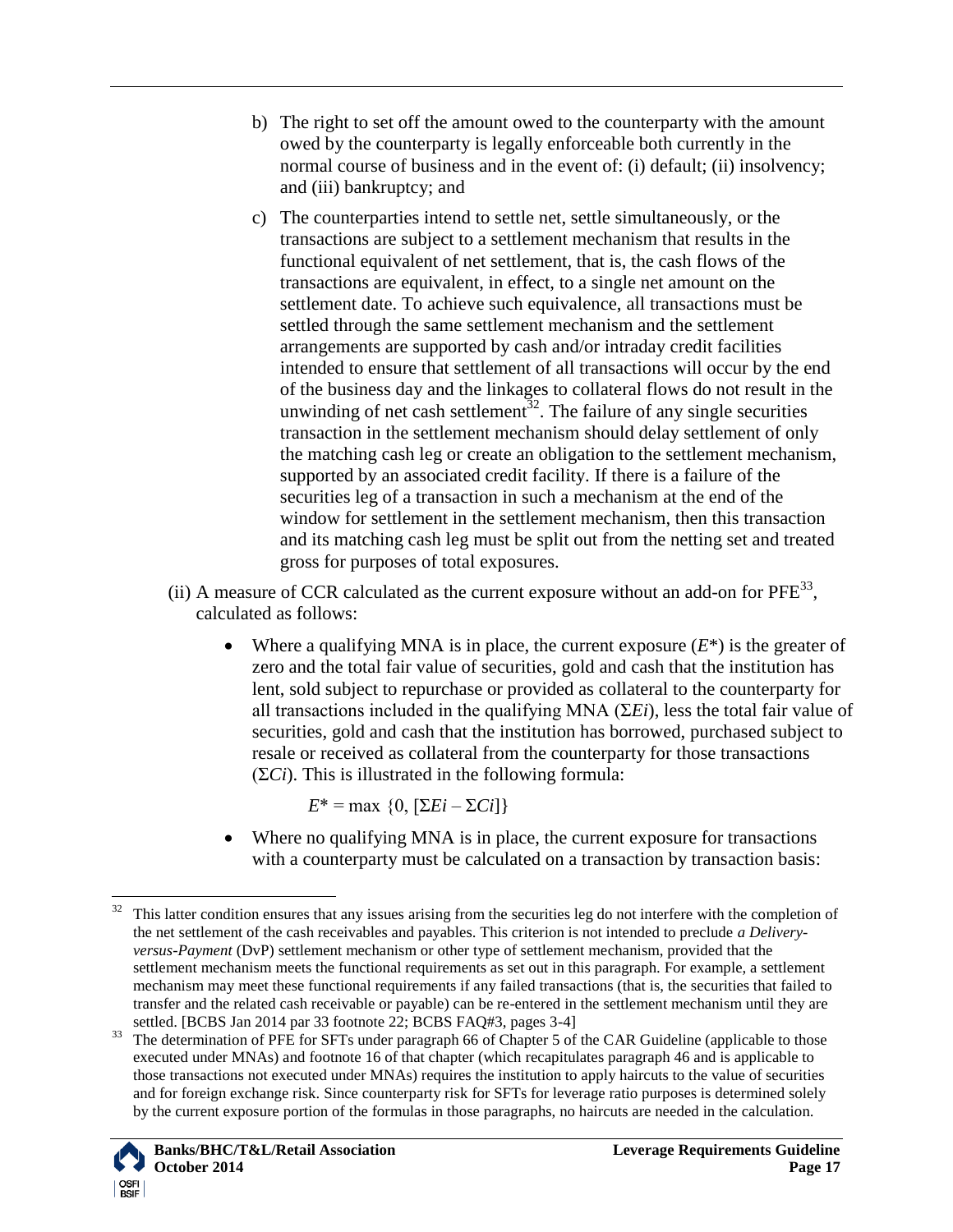- b) The right to set off the amount owed to the counterparty with the amount owed by the counterparty is legally enforceable both currently in the normal course of business and in the event of: (i) default; (ii) insolvency; and (iii) bankruptcy; and
- c) The counterparties intend to settle net, settle simultaneously, or the transactions are subject to a settlement mechanism that results in the functional equivalent of net settlement, that is, the cash flows of the transactions are equivalent, in effect, to a single net amount on the settlement date. To achieve such equivalence, all transactions must be settled through the same settlement mechanism and the settlement arrangements are supported by cash and/or intraday credit facilities intended to ensure that settlement of all transactions will occur by the end of the business day and the linkages to collateral flows do not result in the unwinding of net cash settlement<sup>32</sup>. The failure of any single securities transaction in the settlement mechanism should delay settlement of only the matching cash leg or create an obligation to the settlement mechanism, supported by an associated credit facility. If there is a failure of the securities leg of a transaction in such a mechanism at the end of the window for settlement in the settlement mechanism, then this transaction and its matching cash leg must be split out from the netting set and treated gross for purposes of total exposures.
- (ii) A measure of CCR calculated as the current exposure without an add-on for  $PFE^{33}$ , calculated as follows:
	- Where a qualifying MNA is in place, the current exposure  $(E^*)$  is the greater of zero and the total fair value of securities, gold and cash that the institution has lent, sold subject to repurchase or provided as collateral to the counterparty for all transactions included in the qualifying MNA (Σ*Ei*), less the total fair value of securities, gold and cash that the institution has borrowed, purchased subject to resale or received as collateral from the counterparty for those transactions  $(\Sigma Ci)$ . This is illustrated in the following formula:

 $E^* = \max \{0, [\sum E_i - \sum C_i]\}$ 

 Where no qualifying MNA is in place, the current exposure for transactions with a counterparty must be calculated on a transaction by transaction basis:

<sup>&</sup>lt;sup>33</sup> The determination of PFE for SFTs under paragraph 66 of Chapter 5 of the CAR Guideline (applicable to those executed under MNAs) and footnote 16 of that chapter (which recapitulates paragraph [46](#page-14-1) and is applicable to those transactions not executed under MNAs) requires the institution to apply haircuts to the value of securities and for foreign exchange risk. Since counterparty risk for SFTs for leverage ratio purposes is determined solely by the current exposure portion of the formulas in those paragraphs, no haircuts are needed in the calculation.



 $32\,$ This latter condition ensures that any issues arising from the securities leg do not interfere with the completion of the net settlement of the cash receivables and payables. This criterion is not intended to preclude *a Deliveryversus-Payment* (DvP) settlement mechanism or other type of settlement mechanism, provided that the settlement mechanism meets the functional requirements as set out in this paragraph. For example, a settlement mechanism may meet these functional requirements if any failed transactions (that is, the securities that failed to transfer and the related cash receivable or payable) can be re-entered in the settlement mechanism until they are settled. [BCBS Jan 2014 par 33 footnote 22; BCBS FAQ#3, pages 3-4]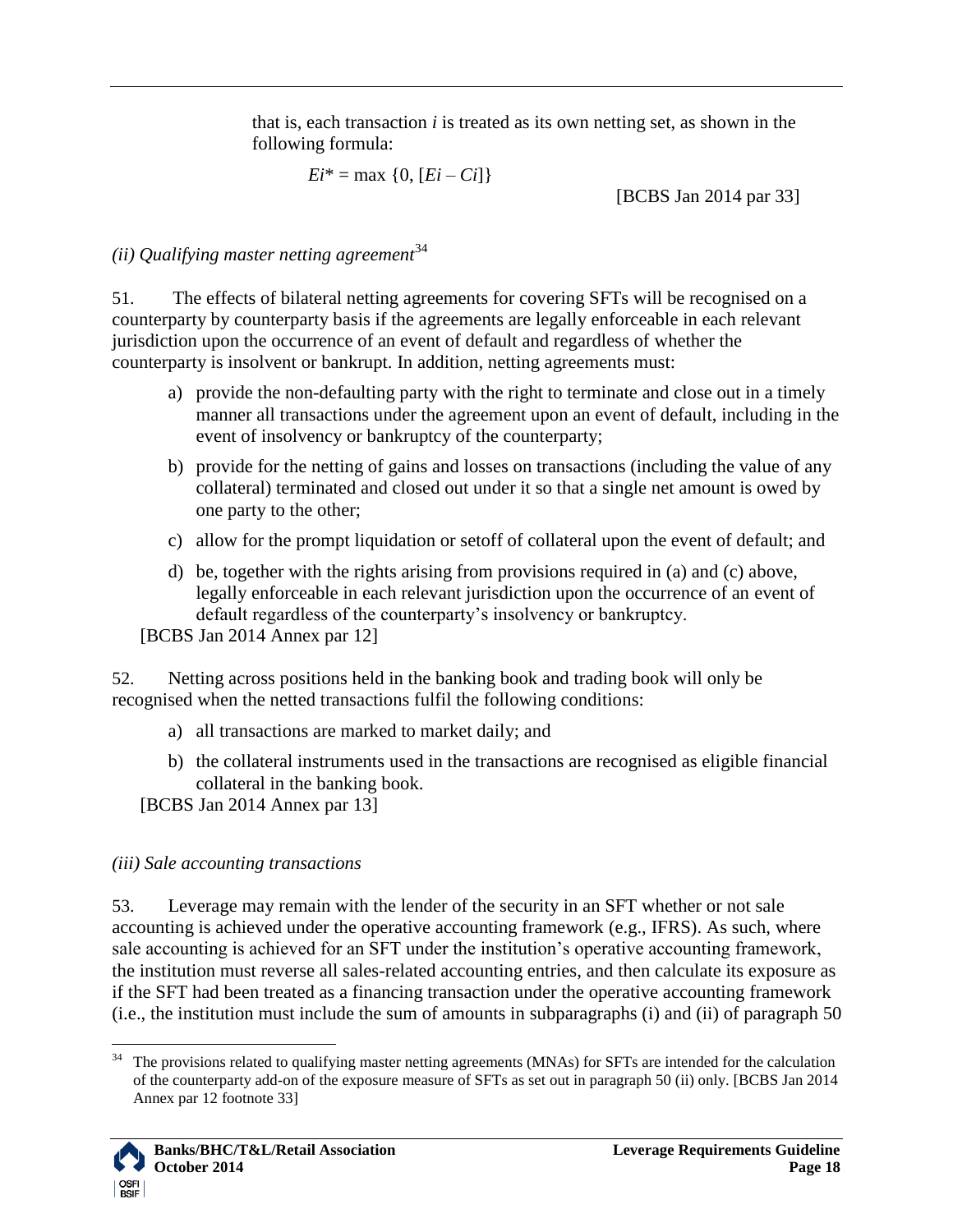that is, each transaction *i* is treated as its own netting set, as shown in the following formula:

 $E_i^* = \max \{0, [E_i - Ci]\}$ 

[BCBS Jan 2014 par 33]

<span id="page-17-0"></span>*(ii) Qualifying master netting agreement*<sup>34</sup>

51. The effects of bilateral netting agreements for covering SFTs will be recognised on a counterparty by counterparty basis if the agreements are legally enforceable in each relevant jurisdiction upon the occurrence of an event of default and regardless of whether the counterparty is insolvent or bankrupt. In addition, netting agreements must:

- a) provide the non-defaulting party with the right to terminate and close out in a timely manner all transactions under the agreement upon an event of default, including in the event of insolvency or bankruptcy of the counterparty;
- b) provide for the netting of gains and losses on transactions (including the value of any collateral) terminated and closed out under it so that a single net amount is owed by one party to the other;
- c) allow for the prompt liquidation or setoff of collateral upon the event of default; and
- d) be, together with the rights arising from provisions required in (a) and (c) above, legally enforceable in each relevant jurisdiction upon the occurrence of an event of default regardless of the counterparty"s insolvency or bankruptcy.

[BCBS Jan 2014 Annex par 12]

52. Netting across positions held in the banking book and trading book will only be recognised when the netted transactions fulfil the following conditions:

- a) all transactions are marked to market daily; and
- b) the collateral instruments used in the transactions are recognised as eligible financial collateral in the banking book.

[BCBS Jan 2014 Annex par 13]

# <span id="page-17-1"></span>*(iii) Sale accounting transactions*

53. Leverage may remain with the lender of the security in an SFT whether or not sale accounting is achieved under the operative accounting framework (e.g., IFRS). As such, where sale accounting is achieved for an SFT under the institution's operative accounting framework, the institution must reverse all sales-related accounting entries, and then calculate its exposure as if the SFT had been treated as a financing transaction under the operative accounting framework (i.e., the institution must include the sum of amounts in subparagraphs (i) and (ii) of paragraph [50](#page-15-2)

 $\overline{a}$  $34$  The provisions related to qualifying master netting agreements (MNAs) for SFTs are intended for the calculation of the counterparty add-on of the exposure measure of SFTs as set out in paragraph [50](#page-15-2) (ii) only. [BCBS Jan 2014 Annex par 12 footnote 33]

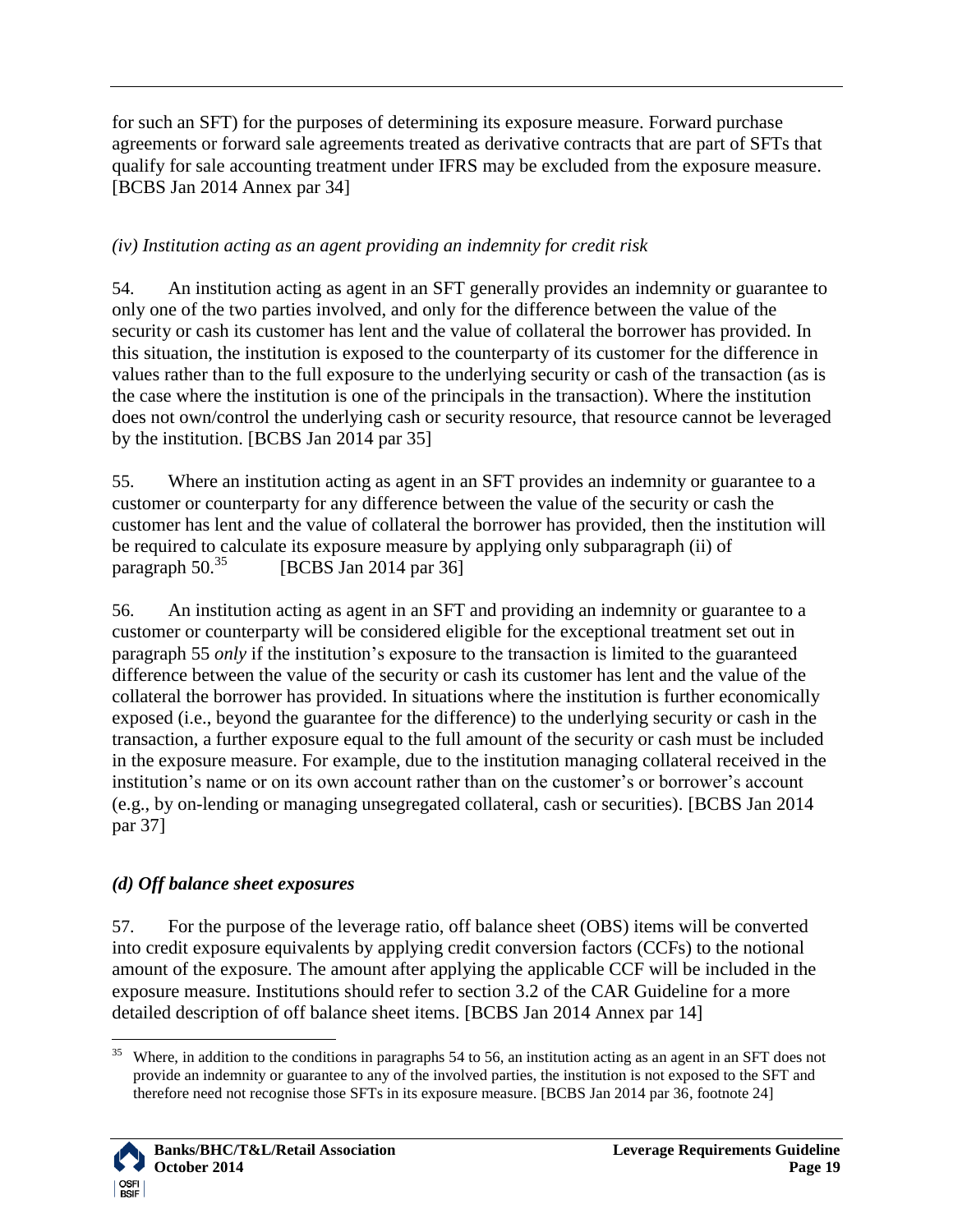for such an SFT) for the purposes of determining its exposure measure. Forward purchase agreements or forward sale agreements treated as derivative contracts that are part of SFTs that qualify for sale accounting treatment under IFRS may be excluded from the exposure measure. [BCBS Jan 2014 Annex par 34]

# <span id="page-18-0"></span>*(iv) Institution acting as an agent providing an indemnity for credit risk*

<span id="page-18-4"></span>54. An institution acting as agent in an SFT generally provides an indemnity or guarantee to only one of the two parties involved, and only for the difference between the value of the security or cash its customer has lent and the value of collateral the borrower has provided. In this situation, the institution is exposed to the counterparty of its customer for the difference in values rather than to the full exposure to the underlying security or cash of the transaction (as is the case where the institution is one of the principals in the transaction). Where the institution does not own/control the underlying cash or security resource, that resource cannot be leveraged by the institution. [BCBS Jan 2014 par 35]

<span id="page-18-3"></span>55. Where an institution acting as agent in an SFT provides an indemnity or guarantee to a customer or counterparty for any difference between the value of the security or cash the customer has lent and the value of collateral the borrower has provided, then the institution will be required to calculate its exposure measure by applying only subparagraph (ii) of paragraph [50.](#page-15-2) [BCBS Jan 2014 par 36]

<span id="page-18-2"></span>56. An institution acting as agent in an SFT and providing an indemnity or guarantee to a customer or counterparty will be considered eligible for the exceptional treatment set out in paragraph [55](#page-18-3) *only* if the institution"s exposure to the transaction is limited to the guaranteed difference between the value of the security or cash its customer has lent and the value of the collateral the borrower has provided. In situations where the institution is further economically exposed (i.e., beyond the guarantee for the difference) to the underlying security or cash in the transaction, a further exposure equal to the full amount of the security or cash must be included in the exposure measure. For example, due to the institution managing collateral received in the institution's name or on its own account rather than on the customer's or borrower's account (e.g., by on-lending or managing unsegregated collateral, cash or securities). [BCBS Jan 2014 par 37]

# <span id="page-18-1"></span>*(d) Off balance sheet exposures*

57. For the purpose of the leverage ratio, off balance sheet (OBS) items will be converted into credit exposure equivalents by applying credit conversion factors (CCFs) to the notional amount of the exposure. The amount after applying the applicable CCF will be included in the exposure measure. Institutions should refer to section 3.2 of the CAR Guideline for a more detailed description of off balance sheet items. [BCBS Jan 2014 Annex par 14]

<sup>35</sup> <sup>35</sup> Where, in addition to the conditions in paragraphs [54](#page-18-4) to [56,](#page-18-2) an institution acting as an agent in an SFT does not provide an indemnity or guarantee to any of the involved parties, the institution is not exposed to the SFT and therefore need not recognise those SFTs in its exposure measure. [BCBS Jan 2014 par 36, footnote 24]